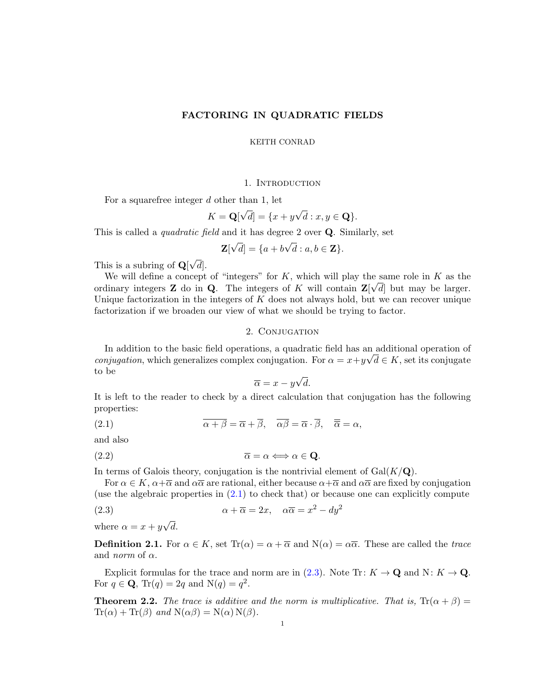# FACTORING IN QUADRATIC FIELDS

#### KEITH CONRAD

## 1. INTRODUCTION

For a squarefree integer d other than 1, let

$$
K = \mathbf{Q}[\sqrt{d}] = \{x + y\sqrt{d} : x, y \in \mathbf{Q}\}.
$$

This is called a *quadratic field* and it has degree 2 over **Q**. Similarly, set

$$
\mathbf{Z}[\sqrt{d}] = \{a + b\sqrt{d} : a, b \in \mathbf{Z}\}.
$$

This is a subring of  $Q$  $√($  $d\vert.$ 

We will define a concept of "integers" for K, which will play the same role in K as the ordinary integers **Z** do in **Q**. The integers of K will contain  $\mathbf{Z}[\sqrt{d}]$  but may be larger. Unique factorization in the integers of  $K$  does not always hold, but we can recover unique factorization if we broaden our view of what we should be trying to factor.

# 2. CONJUGATION

In addition to the basic field operations, a quadratic field has an additional operation of *conjugation*, which generalizes complex conjugation. For  $\alpha = x + y\sqrt{d} \in K$ , set its conjugate to be √

<span id="page-0-1"></span><span id="page-0-0"></span>
$$
\overline{\alpha} = x - y\sqrt{d}.
$$

It is left to the reader to check by a direct calculation that conjugation has the following properties:

(2.1)  $\overline{\alpha + \beta} = \overline{\alpha} + \overline{\beta}, \quad \overline{\alpha\beta} = \overline{\alpha} \cdot \overline{\beta}, \quad \overline{\overline{\alpha}} = \alpha,$ 

and also

$$
\overline{\alpha} = \alpha \Longleftrightarrow \alpha \in \mathbf{Q}.
$$

In terms of Galois theory, conjugation is the nontrivial element of  $Gal(K/\mathbf{Q})$ .

For  $\alpha \in K$ ,  $\alpha + \overline{\alpha}$  and  $\alpha \overline{\alpha}$  are rational, either because  $\alpha + \overline{\alpha}$  and  $\alpha \overline{\alpha}$  are fixed by conjugation (use the algebraic properties in  $(2.1)$  to check that) or because one can explicitly compute

(2.3) 
$$
\alpha + \overline{\alpha} = 2x, \quad \alpha \overline{\alpha} = x^2 - dy^2
$$

where  $\alpha = x + y$ √ d.

**Definition 2.1.** For  $\alpha \in K$ , set  $\text{Tr}(\alpha) = \alpha + \overline{\alpha}$  and  $\text{N}(\alpha) = \alpha\overline{\alpha}$ . These are called the trace and *norm* of  $\alpha$ .

Explicit formulas for the trace and norm are in [\(2.3\)](#page-0-1). Note Tr:  $K \to \mathbf{Q}$  and N:  $K \to \mathbf{Q}$ . For  $q \in \mathbf{Q}$ , Tr(q) = 2q and N(q) =  $q^2$ .

**Theorem 2.2.** The trace is additive and the norm is multiplicative. That is,  $Tr(\alpha + \beta) =$  $\text{Tr}(\alpha) + \text{Tr}(\beta)$  and  $\text{N}(\alpha\beta) = \text{N}(\alpha) \text{N}(\beta)$ .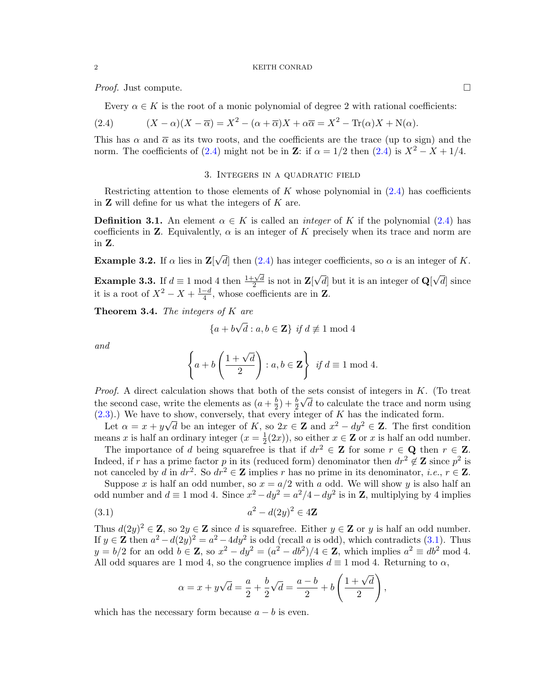*Proof.* Just compute.  $\Box$ 

<span id="page-1-0"></span>Every  $\alpha \in K$  is the root of a monic polynomial of degree 2 with rational coefficients:

(2.4) 
$$
(X - \alpha)(X - \overline{\alpha}) = X^2 - (\alpha + \overline{\alpha})X + \alpha \overline{\alpha} = X^2 - \text{Tr}(\alpha)X + \text{N}(\alpha).
$$

This has  $\alpha$  and  $\overline{\alpha}$  as its two roots, and the coefficients are the trace (up to sign) and the norm. The coefficients of [\(2.4\)](#page-1-0) might not be in Z: if  $\alpha = 1/2$  then (2.4) is  $X^2 - X + 1/4$ .

#### 3. Integers in a quadratic field

Restricting attention to those elements of K whose polynomial in  $(2.4)$  has coefficients in  $Z$  will define for us what the integers of  $K$  are.

<span id="page-1-2"></span>**Definition 3.1.** An element  $\alpha \in K$  is called an *integer* of K if the polynomial [\(2.4\)](#page-1-0) has coefficients in **Z**. Equivalently,  $\alpha$  is an integer of K precisely when its trace and norm are in Z.

**Example 3.2.** If  $\alpha$  lies in  $\mathbf{Z}$ [ √ d then  $(2.4)$  has integer coefficients, so  $\alpha$  is an integer of K.

**Example 3.3.** If  $d \equiv 1 \mod 4$  then  $\frac{1+\sqrt{d}}{2}$  $\frac{1}{2}$  is not in  $\mathbf{Z}$ [ √ d but it is an integer of  $\mathbf{Q}$ √  $d$  since it is a root of  $X^2 - X + \frac{1-d}{4}$  $\frac{-d}{4}$ , whose coefficients are in **Z**.

<span id="page-1-3"></span>**Theorem 3.4.** The integers of  $K$  are

$$
\{a+b\sqrt{d} : a,b \in \mathbf{Z}\} \text{ if } d \not\equiv 1 \text{ mod } 4
$$

and

$$
\left\{ a+b\left(\frac{1+\sqrt{d}}{2}\right) : a,b \in \mathbf{Z} \right\} \text{ if } d \equiv 1 \bmod 4.
$$

*Proof.* A direct calculation shows that both of the sets consist of integers in K. (To treat the second case, write the elements as  $(a + \frac{b}{2})$  $\frac{b}{2}$ ) +  $\frac{b}{2}\sqrt{d}$  to calculate the trace and norm using [\(2.3\)](#page-0-1).) We have to show, conversely, that every integer of K has the indicated form.

Let  $\alpha = x + y\sqrt{d}$  be an integer of K, so  $2x \in \mathbb{Z}$  and  $x^2 - dy^2 \in \mathbb{Z}$ . The first condition means x is half an ordinary integer  $(x=\frac{1}{2})$  $\frac{1}{2}(2x)$ , so either  $x \in \mathbb{Z}$  or x is half an odd number.

The importance of d being squarefree is that if  $dr^2 \in \mathbb{Z}$  for some  $r \in \mathbb{Q}$  then  $r \in \mathbb{Z}$ . Indeed, if r has a prime factor p in its (reduced form) denominator then  $dr^2 \notin \mathbf{Z}$  since  $p^2$  is not canceled by d in  $dr^2$ . So  $dr^2 \in \mathbb{Z}$  implies r has no prime in its denominator, *i.e.*,  $r \in \mathbb{Z}$ .

Suppose x is half an odd number, so  $x = a/2$  with a odd. We will show y is also half an odd number and  $d \equiv 1 \mod 4$ . Since  $x^2 - dy^2 = a^2/4 - dy^2$  is in **Z**, multiplying by 4 implies

(3.1) 
$$
a^2 - d(2y)^2 \in 4\mathbb{Z}
$$

Thus  $d(2y)^2 \in \mathbb{Z}$ , so  $2y \in \mathbb{Z}$  since d is squarefree. Either  $y \in \mathbb{Z}$  or y is half an odd number. If  $y \in \mathbb{Z}$  then  $a^2 - d(2y)^2 = a^2 - 4dy^2$  is odd (recall a is odd), which contradicts [\(3.1\)](#page-1-1). Thus  $y = b/2$  for an odd  $b \in \mathbb{Z}$ , so  $x^2 - dy^2 = (a^2 - db^2)/4 \in \mathbb{Z}$ , which implies  $a^2 \equiv db^2$  mod 4. All odd squares are 1 mod 4, so the congruence implies  $d \equiv 1 \mod 4$ . Returning to  $\alpha$ ,

<span id="page-1-1"></span>
$$
\alpha = x + y\sqrt{d} = \frac{a}{2} + \frac{b}{2}\sqrt{d} = \frac{a-b}{2} + b\left(\frac{1+\sqrt{d}}{2}\right),
$$

which has the necessary form because  $a - b$  is even.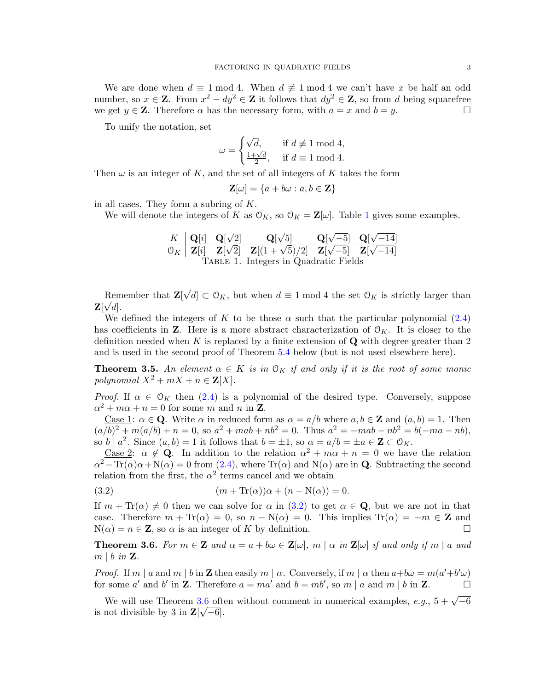We are done when  $d \equiv 1 \mod 4$ . When  $d \not\equiv 1 \mod 4$  we can't have x be half an odd number, so  $x \in \mathbb{Z}$ . From  $x^2 - dy^2 \in \mathbb{Z}$  it follows that  $dy^2 \in \mathbb{Z}$ , so from d being squarefree we get  $y \in \mathbb{Z}$ . Therefore  $\alpha$  has the necessary form, with  $a = x$  and  $b = y$ .

To unify the notation, set

$$
\omega = \begin{cases} \sqrt{d}, & \text{if } d \not\equiv 1 \bmod 4, \\ \frac{1+\sqrt{d}}{2}, & \text{if } d \equiv 1 \bmod 4. \end{cases}
$$

Then  $\omega$  is an integer of K, and the set of all integers of K takes the form

<span id="page-2-0"></span>
$$
\mathbf{Z}[\omega] = \{a + b\omega : a, b \in \mathbf{Z}\}
$$

in all cases. They form a subring of K.

We will denote the integers of K as  $\mathcal{O}_K$ , so  $\mathcal{O}_K = \mathbb{Z}[\omega]$ . Table [1](#page-2-0) gives some examples.

K 
$$
Q[i]
$$
  $Q[\sqrt{2}]$   $Q[\sqrt{5}]$   $Q[\sqrt{-5}]$   $Q[\sqrt{-14}]$   
\n $O_K$   $Z[i]$   $Z[\sqrt{2}]$   $Z[(1+\sqrt{5})/2]$   $Z[\sqrt{-5}]$   $Z[\sqrt{-14}]$   
\nTABLE 1. Integers in Quadratic Fields

Remember that **Z**[ √ Remember that  $\mathbf{Z}[\sqrt{d}] \subset \mathcal{O}_K$ , but when  $d \equiv 1 \mod 4$  the set  $\mathcal{O}_K$  is strictly larger than  $\mathbf{Z}[\sqrt{d}].$ 

We defined the integers of K to be those  $\alpha$  such that the particular polynomial [\(2.4\)](#page-1-0) has coefficients in **Z**. Here is a more abstract characterization of  $\mathcal{O}_K$ . It is closer to the definition needed when K is replaced by a finite extension of  $\bf{Q}$  with degree greater than 2 and is used in the second proof of Theorem [5.4](#page-11-0) below (but is not used elsewhere here).

<span id="page-2-3"></span>**Theorem 3.5.** An element  $\alpha \in K$  is in  $\mathcal{O}_K$  if and only if it is the root of some monic polynomial  $X^2 + mX + n \in \mathbf{Z}[X]$ .

*Proof.* If  $\alpha \in \mathcal{O}_K$  then [\(2.4\)](#page-1-0) is a polynomial of the desired type. Conversely, suppose  $\alpha^2 + m\alpha + n = 0$  for some m and n in **Z**.

Case 1:  $\alpha \in \mathbf{Q}$ . Write  $\alpha$  in reduced form as  $\alpha = a/b$  where  $a, b \in \mathbf{Z}$  and  $(a, b) = 1$ . Then  $(a/b)^2 + m(a/b) + n = 0$ , so  $a^2 + mab + nb^2 = 0$ . Thus  $a^2 = -mab - nb^2 = b(-ma - nb)$ , so  $b \mid a^2$ . Since  $(a, b) = 1$  it follows that  $b = \pm 1$ , so  $\alpha = a/b = \pm a \in \mathbb{Z} \subset \mathcal{O}_K$ .

<u>Case 2</u>:  $\alpha \notin \mathbf{Q}$ . In addition to the relation  $\alpha^2 + m\alpha + n = 0$  we have the relation  $\alpha^2 - \text{Tr}(\alpha)\alpha + N(\alpha) = 0$  from [\(2.4\)](#page-1-0), where  $\text{Tr}(\alpha)$  and  $N(\alpha)$  are in **Q**. Subtracting the second relation from the first, the  $\alpha^2$  terms cancel and we obtain

<span id="page-2-1"></span>(3.2) 
$$
(m + \text{Tr}(\alpha))\alpha + (n - \text{N}(\alpha)) = 0.
$$

If  $m + \text{Tr}(\alpha) \neq 0$  then we can solve for  $\alpha$  in [\(3.2\)](#page-2-1) to get  $\alpha \in \mathbf{Q}$ , but we are not in that case. Therefore  $m + \text{Tr}(\alpha) = 0$ , so  $n - \text{N}(\alpha) = 0$ . This implies  $\text{Tr}(\alpha) = -m \in \mathbb{Z}$  and  $N(\alpha) = n \in \mathbb{Z}$ , so  $\alpha$  is an integer of K by definition.

<span id="page-2-2"></span>**Theorem 3.6.** For  $m \in \mathbb{Z}$  and  $\alpha = a + b\omega \in \mathbb{Z}[\omega], m \mid \alpha$  in  $\mathbb{Z}[\omega]$  if and only if  $m \mid a$  and  $m \mid b$  in  $\mathbf{Z}$ .

*Proof.* If m | a and m | b in **Z** then easily m |  $\alpha$ . Conversely, if m |  $\alpha$  then  $a+b\omega = m(a'+b'\omega)$ for some a' and b' in **Z**. Therefore  $a = ma'$  and  $b = mb'$ , so  $m | a$  and  $m | b$  in **Z**.

We will use Theorem [3.6](#page-2-2) often without comment in numerical examples,  $e.g., 5 + \sqrt{-6}$ is not divisible by 3 in  $\mathbf{Z}[\sqrt{-6}]$ .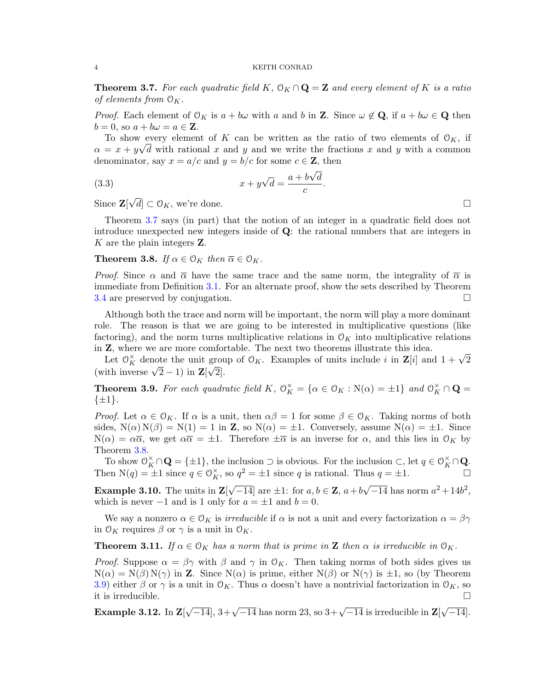<span id="page-3-0"></span>**Theorem 3.7.** For each quadratic field K,  $0_K \cap \mathbf{Q} = \mathbf{Z}$  and every element of K is a ratio of elements from  $\mathcal{O}_K$ .

*Proof.* Each element of  $O_K$  is  $a + b\omega$  with a and b in **Z**. Since  $\omega \notin \mathbf{Q}$ , if  $a + b\omega \in \mathbf{Q}$  then  $b = 0$ , so  $a + b\omega = a \in \mathbf{Z}$ .

To show every element of K can be written as the ratio of two elements of  $\mathcal{O}_K$ , if  $\alpha = x + y\sqrt{d}$  with rational x and y and we write the fractions x and y with a common denominator, say  $x = a/c$  and  $y = b/c$  for some  $c \in \mathbb{Z}$ , then

.

(3.3) 
$$
x + y\sqrt{d} = \frac{a + b\sqrt{d}}{c}
$$

Since **Z**[  $\sqrt{d}$   $\subset \mathcal{O}_K$ , we're done.

Theorem [3.7](#page-3-0) says (in part) that the notion of an integer in a quadratic field does not introduce unexpected new integers inside of  $Q$ : the rational numbers that are integers in  $K$  are the plain integers  $\mathbf{Z}$ .

<span id="page-3-1"></span>**Theorem 3.8.** If  $\alpha \in \mathcal{O}_K$  then  $\overline{\alpha} \in \mathcal{O}_K$ .

*Proof.* Since  $\alpha$  and  $\overline{\alpha}$  have the same trace and the same norm, the integrality of  $\overline{\alpha}$  is immediate from Definition [3.1.](#page-1-2) For an alternate proof, show the sets described by Theorem [3.4](#page-1-3) are preserved by conjugation.  $\square$ 

Although both the trace and norm will be important, the norm will play a more dominant role. The reason is that we are going to be interested in multiplicative questions (like factoring), and the norm turns multiplicative relations in  $\mathcal{O}_K$  into multiplicative relations in Z, where we are more comfortable. The next two theorems illustrate this idea.

 $\mathbf{Z}$ , where we are more comfortable. The next two theorems illustrate this idea.<br>Let  $\mathcal{O}_K^{\times}$  denote the unit group of  $\mathcal{O}_K$ . Examples of units include i in  $\mathbf{Z}[i]$  and  $1 + \sqrt{2}$ Let  $\sigma_K$  denote the unit grot<br>(with inverse  $\sqrt{2} - 1$ ) in  $\mathbf{Z}[\sqrt{2}]$ .

<span id="page-3-2"></span>**Theorem 3.9.** For each quadratic field K,  $\mathcal{O}_K^{\times} = {\alpha \in \mathcal{O}_K : N(\alpha) = \pm 1}$  and  $\mathcal{O}_K^{\times} \cap \mathbf{Q} =$  $\{\pm 1\}.$ 

*Proof.* Let  $\alpha \in \mathcal{O}_K$ . If  $\alpha$  is a unit, then  $\alpha\beta = 1$  for some  $\beta \in \mathcal{O}_K$ . Taking norms of both sides,  $N(\alpha)N(\beta) = N(1) = 1$  in **Z**, so  $N(\alpha) = \pm 1$ . Conversely, assume  $N(\alpha) = \pm 1$ . Since  $N(\alpha) = \alpha \overline{\alpha}$ , we get  $\alpha \overline{\alpha} = \pm 1$ . Therefore  $\pm \overline{\alpha}$  is an inverse for  $\alpha$ , and this lies in  $\mathcal{O}_K$  by Theorem [3.8.](#page-3-1)

To show  $\mathcal{O}_K^{\times} \cap \mathbf{Q} = {\{\pm 1\}}$ , the inclusion  $\supset$  is obvious. For the inclusion  $\subset$ , let  $q \in \mathcal{O}_K^{\times} \cap \mathbf{Q}$ . Then  $N(q) = \pm 1$  since  $q \in \mathcal{O}_K^{\times}$ , so  $q^2 = \pm 1$  since q is rational. Thus  $q = \pm 1$ .

**Example 3.10.** The units in  $\mathbf{Z}$ [ √  $\overline{-14}$  are  $\pm 1$ : for  $a, b \in \mathbb{Z}$ ,  $a+b$ √  $\overline{-14}$  has norm  $a^2 + 14b^2$ , which is never  $-1$  and is 1 only for  $a = \pm 1$  and  $b = 0$ .

We say a nonzero  $\alpha \in \mathcal{O}_K$  is *irreducible* if  $\alpha$  is not a unit and every factorization  $\alpha = \beta \gamma$ in  $\mathcal{O}_K$  requires  $\beta$  or  $\gamma$  is a unit in  $\mathcal{O}_K$ .

<span id="page-3-3"></span>**Theorem 3.11.** If  $\alpha \in \mathcal{O}_K$  has a norm that is prime in **Z** then  $\alpha$  is irreducible in  $\mathcal{O}_K$ .

*Proof.* Suppose  $\alpha = \beta \gamma$  with  $\beta$  and  $\gamma$  in  $\mathcal{O}_K$ . Then taking norms of both sides gives us  $N(\alpha) = N(\beta) N(\gamma)$  in Z. Since  $N(\alpha)$  is prime, either  $N(\beta)$  or  $N(\gamma)$  is  $\pm 1$ , so (by Theorem [3.9\)](#page-3-2) either  $\beta$  or  $\gamma$  is a unit in  $\mathcal{O}_K$ . Thus  $\alpha$  doesn't have a nontrivial factorization in  $\mathcal{O}_K$ , so it is irreducible.

Example  $3.12$ . In  $\mathbf{Z}[$  $\sqrt{-14}$ ,  $3+\sqrt{-14}$  has norm 23, so  $3+\sqrt{-14}$  is irreducible in  $\mathbf{Z}$ √  $\overline{-14}$ ].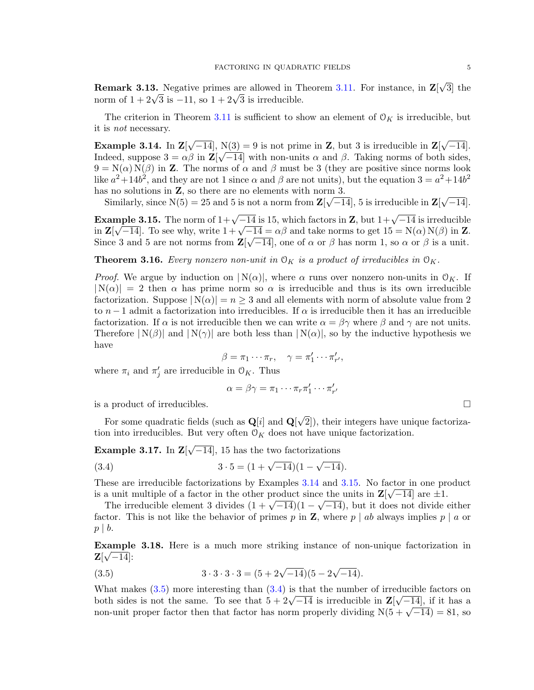**Remark 3.13.** Negative primes are allowed in Theorem [3.11.](#page-3-3) For instance, in  $\mathbf{Z}$ √ 3] the **REMARK 3.13.** Negative primes are allowed in 1 norm of  $1 + 2\sqrt{3}$  is  $-11$ , so  $1 + 2\sqrt{3}$  is irreducible.

The criterion in Theorem [3.11](#page-3-3) is sufficient to show an element of  $\mathcal{O}_K$  is irreducible, but it is not necessary.

<span id="page-4-0"></span>Example 3.14. In  $\mathbf{Z}$ √  $[-14]$ , N(3) = 9 is not prime in **Z**, but 3 is irreducible in **Z**[ √  $N(3) = 9$  is not prime in **Z**, but 3 is irreducible in **Z**[ $\sqrt{-14}$ ]. Indeed, suppose  $3 = \alpha \beta$  in  $\mathbb{Z}[\sqrt{-14}]$  with non-units  $\alpha$  and  $\beta$ . Taking norms of both sides,  $9 = N(\alpha) N(\beta)$  in Z. The norms of  $\alpha$  and  $\beta$  must be 3 (they are positive since norms look like  $a^2 + 14b^2$ , and they are not 1 since  $\alpha$  and  $\beta$  are not units), but the equation  $3 = a^2 + 14b^2$ has no solutions in  $\mathbf{Z}$ , so there are no elements with norm 3. √

Similarly, since  $N(5) = 25$  and 5 is not a norm from  $\mathbf{Z}[\sqrt{-14}]$ , 5 is irreducible in  $\mathbf{Z}[\sqrt{-14}]$  $-14$ ].

<span id="page-4-1"></span>Example 3.15. The norm of  $1+\sqrt{-14}$  is 15, which factors in Z, but  $1+\sqrt{-14}$  is irreducible **Example 3.15.** The norm of  $1+\sqrt{-14}$  is 15, which factors in **Z**, but  $1+\sqrt{-14}$  is irreduction<br>in  $\mathbf{Z}[\sqrt{-14}]$ . To see why, write  $1+\sqrt{-14} = \alpha\beta$  and take norms to get  $15 = N(\alpha) N(\beta)$  in **Z**. Since 3 and 5 are not norms from  $\mathbf{Z}[\sqrt{-14}]$ , one of  $\alpha$  or  $\beta$  has norm 1, so  $\alpha$  or  $\beta$  is a unit.

<span id="page-4-5"></span>**Theorem 3.16.** Every nonzero non-unit in  $O_K$  is a product of irreducibles in  $O_K$ .

*Proof.* We argue by induction on  $|N(\alpha)|$ , where  $\alpha$  runs over nonzero non-units in  $\mathcal{O}_K$ . If  $|N(\alpha)| = 2$  then  $\alpha$  has prime norm so  $\alpha$  is irreducible and thus is its own irreducible factorization. Suppose  $|N(\alpha)| = n \geq 3$  and all elements with norm of absolute value from 2 to  $n-1$  admit a factorization into irreducibles. If  $\alpha$  is irreducible then it has an irreducible factorization. If  $\alpha$  is not irreducible then we can write  $\alpha = \beta \gamma$  where  $\beta$  and  $\gamma$  are not units. Therefore  $|N(\beta)|$  and  $|N(\gamma)|$  are both less than  $|N(\alpha)|$ , so by the inductive hypothesis we have

$$
\beta = \pi_1 \cdots \pi_r, \quad \gamma = \pi'_1 \cdots \pi'_{r'},
$$

where  $\pi_i$  and  $\pi'_j$  are irreducible in  $\mathcal{O}_K$ . Thus

<span id="page-4-3"></span>
$$
\alpha = \beta \gamma = \pi_1 \cdots \pi_r \pi'_1 \cdots \pi'_{r'}
$$

is a product of irreducibles.

For some quadratic fields (such as  $\mathbf{Q}[i]$  and  $\mathbf{Q}[i]$ √ 2]), their integers have unique factorization into irreducibles. But very often  $O<sub>K</sub>$  does not have unique factorization.

<span id="page-4-4"></span>Example 3.17. In Z[ √  $\overline{-14}$ , 15 has the two factorizations

(3.4) 
$$
3 \cdot 5 = (1 + \sqrt{-14})(1 - \sqrt{-14}).
$$

These are irreducible factorizations by Examples [3.14](#page-4-0) and [3.15.](#page-4-1) No factor in one product is a unit multiple of a factor in the other product since the units in  $\mathbb{Z}[\sqrt{-14}]$  are  $\pm 1$ .

a unit multiple of a factor in the other product since the units in  $\mathbb{Z}[\sqrt{-14}]$  are  $\pm 1$ .<br>The irreducible element 3 divides  $(1 + \sqrt{-14})(1 - \sqrt{-14})$ , but it does not divide either factor. This is not like the behavior of primes p in **Z**, where p | ab always implies p | a or  $p \mid b$ .

Example 3.18. Here is a much more striking instance of non-unique factorization in  $\mathbf{Z}[\sqrt{-14}]$ :

<span id="page-4-2"></span>(3.5) 
$$
3 \cdot 3 \cdot 3 \cdot 3 = (5 + 2\sqrt{-14})(5 - 2\sqrt{-14}).
$$

What makes  $(3.5)$  more interesting than  $(3.4)$  is that the number of irreducible factors on what makes (3.5) more interesting than (3.4) is that the number of irreducible lactors on<br>both sides is not the same. To see that  $5 + 2\sqrt{-14}$  is irreducible in  $\mathbf{Z}[\sqrt{-14}]$ , if it has a both sides is not the same. To see that  $5 + 2\sqrt{-14}$  is irreducible in  $\mathbb{Z}[\sqrt{-14}]$ , if it has a non-unit proper factor then that factor has norm properly dividing  $N(5 + \sqrt{-14}) = 81$ , so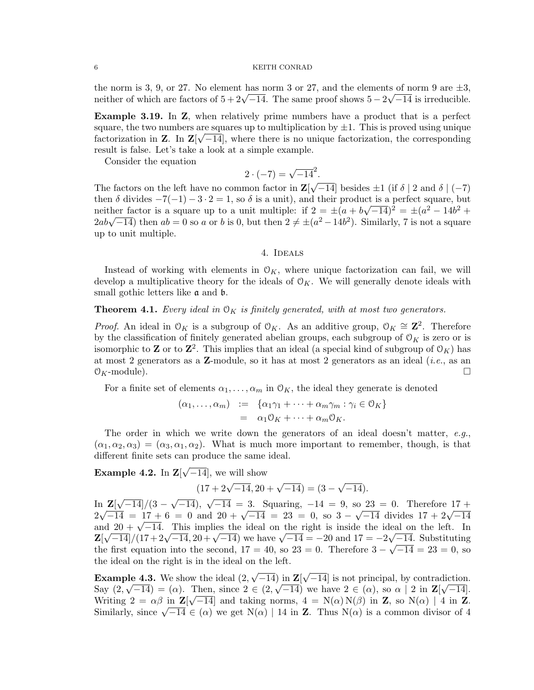the norm is 3, 9, or 27. No element has norm 3 or 27, and the elements of norm 9 are  $\pm 3$ , the norm is 3, 9, or 27. No element has norm 3 or 27, and the elements of norm 9 are  $\pm$ 3, neither of which are factors of  $5 + 2\sqrt{-14}$ . The same proof shows  $5 - 2\sqrt{-14}$  is irreducible.

<span id="page-5-2"></span>Example 3.19. In Z, when relatively prime numbers have a product that is a perfect square, the two numbers are squares up to multiplication by  $\pm 1$ . This is proved using unique factorization in **Z**. In  $\mathbb{Z}[\sqrt{-14}]$ , where there is no unique factorization, the corresponding result is false. Let's take a look at a simple example.

Consider the equation

$$
2 \cdot (-7) = \sqrt{-14}^2.
$$

The factors on the left have no common factor in  $\mathbf{Z}$  $\overline{-14}$  besides  $\pm 1$  (if  $\delta \mid 2$  and  $\delta \mid (-7)$ then  $\delta$  divides  $-7(-1) - 3 \cdot 2 = 1$ , so  $\delta$  is a unit), and their product is a perfect square, but neither factor is a square up to a unit multiple: if  $2 = \pm (a + b\sqrt{-14})^2 = \pm (a^2 - 14b^2 +$ menther nactor is a square up to a unit multiple: if  $2 = \pm (a + b\sqrt{-14})^2 = \pm (a^2 - 14b^2 + 2ab\sqrt{-14})$  then  $ab = 0$  so a or b is 0, but then  $2 \neq \pm (a^2 - 14b^2)$ . Similarly, 7 is not a square up to unit multiple.

4. Ideals

<span id="page-5-3"></span>Instead of working with elements in  $\mathcal{O}_K$ , where unique factorization can fail, we will develop a multiplicative theory for the ideals of  $\mathcal{O}_K$ . We will generally denote ideals with small gothic letters like a and b.

## <span id="page-5-1"></span>**Theorem 4.1.** Every ideal in  $\mathcal{O}_K$  is finitely generated, with at most two generators.

*Proof.* An ideal in  $\mathcal{O}_K$  is a subgroup of  $\mathcal{O}_K$ . As an additive group,  $\mathcal{O}_K \cong \mathbb{Z}^2$ . Therefore by the classification of finitely generated abelian groups, each subgroup of  $\mathcal{O}_K$  is zero or is isomorphic to **Z** or to **Z**<sup>2</sup>. This implies that an ideal (a special kind of subgroup of  $\mathcal{O}_K$ ) has at most 2 generators as a  $\mathbb{Z}$ -module, so it has at most 2 generators as an ideal (*i.e.*, as an  $\mathcal{O}_K$ -module).

For a finite set of elements  $\alpha_1, \ldots, \alpha_m$  in  $\mathcal{O}_K$ , the ideal they generate is denoted

$$
(\alpha_1, \ldots, \alpha_m) := \{ \alpha_1 \gamma_1 + \cdots + \alpha_m \gamma_m : \gamma_i \in \mathcal{O}_K \}
$$
  
= 
$$
\alpha_1 \mathcal{O}_K + \cdots + \alpha_m \mathcal{O}_K.
$$

The order in which we write down the generators of an ideal doesn't matter,  $e.g.,$  $(\alpha_1, \alpha_2, \alpha_3) = (\alpha_3, \alpha_1, \alpha_2)$ . What is much more important to remember, though, is that different finite sets can produce the same ideal.

Example 4.2. In Z[ √  $\overline{-14}$ , we will show

$$
(17 + 2\sqrt{-14}, 20 + \sqrt{-14}) = (3 - \sqrt{-14}).
$$

In  $\mathbf{Z}$ [ √  $\left. -14\right] / (3$  –  $\frac{\mathbf{Z}[\sqrt{-14}]}{3 - \sqrt{-14}}, \sqrt{-14} = \frac{3}{9}$ . Squaring,  $-14 = 9$ , so  $\frac{23}{\sqrt{-14}} = 0$ . Therefore  $17 + \sqrt{-14}$  $2\sqrt{-14} = 17 + 6 = 0$  and  $20 + \sqrt{-14} = 23 = 0$ , so  $3 - \sqrt{-14}$  divides  $17 + 2\sqrt{-14}$  $2\sqrt{-14} = 17 + 6 = 0$  and  $20 + \sqrt{-14} = 23 = 0$ , so  $3 - \sqrt{-14}$  divides  $17 + 2\sqrt{-14}$ <br>and  $20 + \sqrt{-14}$ . This implies the ideal on the right is inside the ideal on the left. In and  $20 + \sqrt{-14}$ . This implies the ideal on the right is inside the ideal on the left. In<br>  $\mathbf{Z}[\sqrt{-14}]/(17 + 2\sqrt{-14}, 20 + \sqrt{-14})$  we have  $\sqrt{-14} = -20$  and  $17 = -2\sqrt{-14}$ . Substituting the first equation into the second,  $17 = 40$ , so  $23 = 0$ . Therefore  $3 - \sqrt{-14} = 23 = 0$ , so the ideal on the right is in the ideal on the left.

<span id="page-5-0"></span>**Example 4.3.** We show the ideal  $(2,$ √  $-14$ ) in  $\mathbf{Z}$ [ √ **ble 4.3.** We show the ideal  $(2, \sqrt{-14})$  in  $\mathbb{Z}[\sqrt{-14}]$  is not principal, by contradiction. Say  $(2, \sqrt{-14}) = (\alpha)$ . Then, since  $2 \in (2, \sqrt{-14})$  we have  $2 \in (\alpha)$ , so  $\alpha \mid 2$  in  $\mathbb{Z}[\sqrt{-14}]$ . Writing  $2 = \alpha \beta$  in  $\mathbb{Z}[\sqrt{-14}]$  and taking norms,  $4 = N(\alpha)N(\beta)$  in Z, so  $N(\alpha)$  | 4 in Z. Writing  $z = \alpha \beta \ln \mathbb{Z}[\sqrt{-14}]$  and taking norms,  $4 = \mathbb{N}(\alpha) \mathbb{N}(\beta)$  in  $\mathbb{Z}$ , so  $\mathbb{N}(\alpha) \mid 4$  in  $\mathbb{Z}$ .<br>Similarly, since  $\sqrt{-14} \in (\alpha)$  we get  $\mathbb{N}(\alpha) \mid 14$  in  $\mathbb{Z}$ . Thus  $\mathbb{N}(\alpha)$  is a common divisor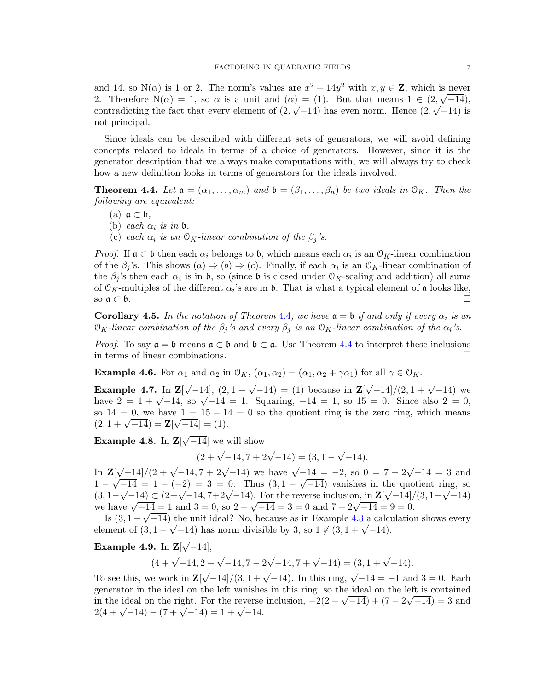and 14, so  $N(\alpha)$  is 1 or 2. The norm's values are  $x^2 + 14y^2$  with  $x, y \in \mathbb{Z}$ , which is never 2. Therefore  $N(\alpha) = 1$ , so  $\alpha$  is a unit and  $(\alpha) = (1)$ . But that means  $1 \in (2, \sqrt{-14})$ , contradicting the fact that every element of  $(2,\sqrt{-14})$  has even norm. Hence  $(2,\sqrt{-14})$  is not principal.

Since ideals can be described with different sets of generators, we will avoid defining concepts related to ideals in terms of a choice of generators. However, since it is the generator description that we always make computations with, we will always try to check how a new definition looks in terms of generators for the ideals involved.

<span id="page-6-0"></span>**Theorem 4.4.** Let  $\mathfrak{a} = (\alpha_1, \dots, \alpha_m)$  and  $\mathfrak{b} = (\beta_1, \dots, \beta_n)$  be two ideals in  $\mathfrak{O}_K$ . Then the following are equivalent:

- (a)  $\mathfrak{a} \subset \mathfrak{b}$ ,
- (b) each  $\alpha_i$  is in b,
- (c) each  $\alpha_i$  is an  $\mathcal{O}_K$ -linear combination of the  $\beta_i$ 's.

*Proof.* If  $\mathfrak{a} \subset \mathfrak{b}$  then each  $\alpha_i$  belongs to  $\mathfrak{b}$ , which means each  $\alpha_i$  is an  $\mathfrak{O}_K$ -linear combination of the  $\beta_j$ 's. This shows  $(a) \Rightarrow (b) \Rightarrow (c)$ . Finally, if each  $\alpha_i$  is an  $\mathcal{O}_K$ -linear combination of the  $\beta_j$ 's then each  $\alpha_i$  is in b, so (since b is closed under  $\mathcal{O}_K$ -scaling and addition) all sums of  $\mathcal{O}_K$ -multiples of the different  $\alpha_i$ 's are in **b**. That is what a typical element of **a** looks like, so  $\mathfrak{a} \subset \mathfrak{b}$ .

**Corollary [4](#page-6-0).5.** In the notation of Theorem 4.4, we have  $\mathfrak{a} = \mathfrak{b}$  if and only if every  $\alpha_i$  is an  $\mathcal{O}_K$ -linear combination of the  $\beta_i$ 's and every  $\beta_i$  is an  $\mathcal{O}_K$ -linear combination of the  $\alpha_i$ 's.

*Proof.* To say  $\mathfrak{a} = \mathfrak{b}$  means  $\mathfrak{a} \subset \mathfrak{b}$  and  $\mathfrak{b} \subset \mathfrak{a}$ . Use Theorem [4.4](#page-6-0) to interpret these inclusions in terms of linear combinations.

**Example 4.6.** For  $\alpha_1$  and  $\alpha_2$  in  $\mathcal{O}_K$ ,  $(\alpha_1, \alpha_2) = (\alpha_1, \alpha_2 + \gamma \alpha_1)$  for all  $\gamma \in \mathcal{O}_K$ .

Example 4.7. In Z[  $\sqrt{-14}$ ,  $(2, 1 + \sqrt{-14}) = (1)$  because in **Z**  $\sqrt{-14}$ / $(2, 1 + \sqrt{-14})$  we **EXAMPLE 4.7.** In  $\mathbf{Z}[\sqrt{-14}]$ ,  $(2, 1 + \sqrt{-14}) = (1)$  because in  $\mathbf{Z}[\sqrt{-14}]/(2, 1 + \sqrt{-14})$  we have  $2 = 1 + \sqrt{-14}$ , so  $\sqrt{-14} = 1$ . Squaring,  $-14 = 1$ , so  $15 = 0$ . Since also  $2 = 0$ , so  $14 = 0$ , we have  $1 = 15 - 14 = 0$  so the quotient ring is the zero ring, which means so  $14 = 0$ , we have  $1 = 15 - 14$ <br> $(2, 1 + \sqrt{-14}) = \mathbf{Z}[\sqrt{-14}] = (1).$ 

Example 4.8. In Z[ √ −14] we will show

 $(2+\sqrt{-14},7+2\sqrt{-14}) = (3,1-\sqrt{2})$ √  $(-14)$ .

In  $Z$ [  $\sqrt{(-14)/(2 + \sqrt{-14}, 7 + 2\sqrt{-14})}$  we have  $\sqrt{-14} = -2$ , so  $0 = 7 + 2\sqrt{-14} = 3$  and  $1 - \sqrt{-14} = 1 - (-2) = 3 = 0$ . Thus  $(3, 1 - \sqrt{-14})$  vanishes in the quotient ring, so  $(3, 1 - \sqrt{-14}) \subset (2 + \sqrt{-14}, 7 + 2\sqrt{-14})$ . For the reverse inclusion, in  $\mathbb{Z}[\sqrt{-14}]/(3, 1 - \sqrt{-14})$ (3, 1 –  $\sqrt{-14}$ ) ⊂ (2+ $\sqrt{-14}$ , *(*+2 $\sqrt{-14}$ ). For the reverse inclusion, in  $\mathbb{Z}[\sqrt{-14}]$ /<br>we have  $\sqrt{-14} = 1$  and  $3 = 0$ , so  $2 + \sqrt{-14} = 3 = 0$  and  $7 + 2\sqrt{-14} = 9 = 0$ .

Is  $(3, 1 - \sqrt{-14})$  the unit ideal? No, because as in Example [4.3](#page-5-0) a calculation shows every is (3, 1 –  $\sqrt{-14}$ ) the unit ideal: No, because as in Example 4.5 a calculate element of  $(3, 1 - \sqrt{-14})$  has norm divisible by 3, so  $1 \notin (3, 1 + \sqrt{-14})$ .

Example 4.9. In Z[ √  $\overline{-14}]$ ,

$$
(4+\sqrt{-14},2-\sqrt{-14},7-2\sqrt{-14},7+\sqrt{-14}) = (3,1+\sqrt{-14}).
$$

To see this, we work in  $\mathbf{Z}$ [  $\sqrt{-14}$ /(3, 1 +  $\sqrt{-14}$ ). In this ring,  $\sqrt{-14} = -1$  and 3 = 0. Each generator in the ideal on the left vanishes in this ring, so the ideal on the left is contained in the ideal on the right. For the reverse inclusion,  $-2(2-\sqrt{-14}) + (7-2\sqrt{-14}) = 3$  and m the ideal on the right. For the reverse<br> $2(4 + \sqrt{-14}) - (7 + \sqrt{-14}) = 1 + \sqrt{-14}.$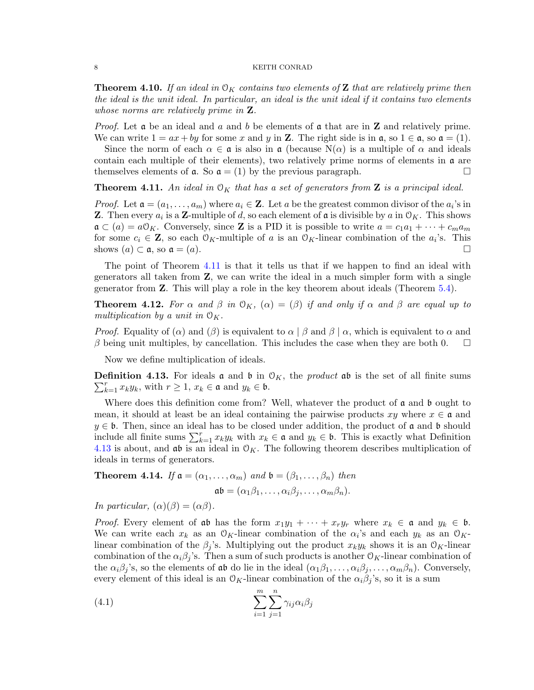<span id="page-7-4"></span>**Theorem 4.10.** If an ideal in  $\mathcal{O}_K$  contains two elements of **Z** that are relatively prime then the ideal is the unit ideal. In particular, an ideal is the unit ideal if it contains two elements whose norms are relatively prime in **Z**.

*Proof.* Let  $\alpha$  be an ideal and a and b be elements of  $\alpha$  that are in **Z** and relatively prime. We can write  $1 = ax + by$  for some x and y in Z. The right side is in  $\mathfrak{a}$ , so  $1 \in \mathfrak{a}$ , so  $\mathfrak{a} = (1)$ .

Since the norm of each  $\alpha \in \mathfrak{a}$  is also in  $\mathfrak{a}$  (because  $N(\alpha)$  is a multiple of  $\alpha$  and ideals contain each multiple of their elements), two relatively prime norms of elements in  $\alpha$  are themselves elements of  $\mathfrak{a}$ . So  $\mathfrak{a} = (1)$  by the previous paragraph.

<span id="page-7-0"></span>**Theorem 4.11.** An ideal in  $\mathcal{O}_K$  that has a set of generators from **Z** is a principal ideal.

*Proof.* Let  $\mathfrak{a} = (a_1, \ldots, a_m)$  where  $a_i \in \mathbb{Z}$ . Let a be the greatest common divisor of the  $a_i$ 's in **Z**. Then every  $a_i$  is a **Z**-multiple of d, so each element of **a** is divisible by a in  $\mathcal{O}_K$ . This shows  $\mathfrak{a} \subset (a) = a \mathcal{O}_K$ . Conversely, since Z is a PID it is possible to write  $a = c_1 a_1 + \cdots + c_m a_m$ for some  $c_i \in \mathbf{Z}$ , so each  $\mathcal{O}_K$ -multiple of a is an  $\mathcal{O}_K$ -linear combination of the  $a_i$ 's. This shows  $(a) \subset \mathfrak{a}$ , so  $\mathfrak{a} = (a)$ .

The point of Theorem [4.11](#page-7-0) is that it tells us that if we happen to find an ideal with generators all taken from Z, we can write the ideal in a much simpler form with a single generator from Z. This will play a role in the key theorem about ideals (Theorem [5.4\)](#page-11-0).

<span id="page-7-5"></span>**Theorem 4.12.** For  $\alpha$  and  $\beta$  in  $\mathcal{O}_K$ ,  $(\alpha) = (\beta)$  if and only if  $\alpha$  and  $\beta$  are equal up to multiplication by a unit in  $\mathcal{O}_K$ .

*Proof.* Equality of ( $\alpha$ ) and ( $\beta$ ) is equivalent to  $\alpha \mid \beta$  and  $\beta \mid \alpha$ , which is equivalent to  $\alpha$  and  $\beta$  being unit multiples, by cancellation. This includes the case when they are both 0.  $\Box$ 

Now we define multiplication of ideals.

<span id="page-7-1"></span> $\sum_{k=1}^r x_k y_k$ , with  $r \ge 1$ ,  $x_k \in \mathfrak{a}$  and  $y_k \in \mathfrak{b}$ . **Definition 4.13.** For ideals **a** and **b** in  $\mathcal{O}_K$ , the *product* **ab** is the set of all finite sums

Where does this definition come from? Well, whatever the product of  $\mathfrak a$  and  $\mathfrak b$  ought to mean, it should at least be an ideal containing the pairwise products  $xy$  where  $x \in \mathfrak{a}$  and  $y \in \mathfrak{b}$ . Then, since an ideal has to be closed under addition, the product of  $\mathfrak{a}$  and  $\mathfrak{b}$  should include all finite sums  $\sum_{k=1}^r x_k y_k$  with  $x_k \in \mathfrak{a}$  and  $y_k \in \mathfrak{b}$ . This is exactly what Definition [4.13](#page-7-1) is about, and  $\mathfrak{ab}$  is an ideal in  $\mathfrak{O}_K$ . The following theorem describes multiplication of ideals in terms of generators.

<span id="page-7-3"></span>**Theorem 4.14.** If  $a = (\alpha_1, \ldots, \alpha_m)$  and  $b = (\beta_1, \ldots, \beta_n)$  then  $\mathfrak{a}\mathfrak{b} = (\alpha_1\beta_1,\ldots,\alpha_i\beta_i,\ldots,\alpha_m\beta_n).$ 

In particular,  $(\alpha)(\beta) = (\alpha\beta)$ .

*Proof.* Every element of ab has the form  $x_1y_1 + \cdots + x_ry_r$  where  $x_k \in \mathfrak{a}$  and  $y_k \in \mathfrak{b}$ . We can write each  $x_k$  as an  $\mathcal{O}_K$ -linear combination of the  $\alpha_i$ 's and each  $y_k$  as an  $\mathcal{O}_K$ linear combination of the  $\beta_j$ 's. Multiplying out the product  $x_k y_k$  shows it is an  $\mathcal{O}_K$ -linear combination of the  $\alpha_i\beta_j$ 's. Then a sum of such products is another  $\mathcal{O}_K$ -linear combination of the  $\alpha_i\beta_j$ 's, so the elements of ab do lie in the ideal  $(\alpha_1\beta_1,\ldots,\alpha_i\beta_j,\ldots,\alpha_m\beta_n)$ . Conversely, every element of this ideal is an  $\mathcal{O}_K$ -linear combination of the  $\alpha_i\beta_j$ 's, so it is a sum

<span id="page-7-2"></span>(4.1) 
$$
\sum_{i=1}^{m} \sum_{j=1}^{n} \gamma_{ij} \alpha_i \beta_j
$$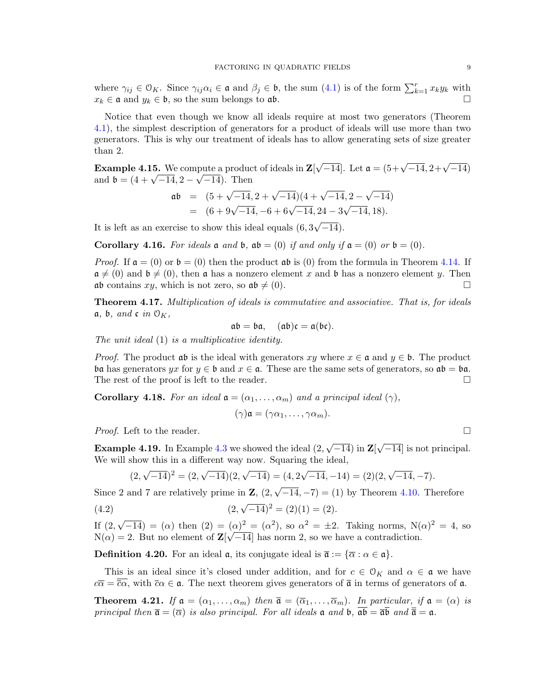where  $\gamma_{ij} \in \mathcal{O}_K$ . Since  $\gamma_{ij} \alpha_i \in \mathfrak{a}$  and  $\beta_j \in \mathfrak{b}$ , the sum  $(4.1)$  is of the form  $\sum_{k=1}^r x_k y_k$  with  $x_k \in \mathfrak{a}$  and  $y_k \in \mathfrak{b}$ , so the sum belongs to  $\mathfrak{ab}$ .

Notice that even though we know all ideals require at most two generators (Theorem [4.1\)](#page-5-1), the simplest description of generators for a product of ideals will use more than two generators. This is why our treatment of ideals has to allow generating sets of size greater than 2.

<span id="page-8-1"></span>**Example 4.15.** We compute a product of ideals in  $\mathbf{Z}$ pute a product of ideals in  $\mathbf{Z}[\sqrt{-14}]$ . Let  $\mathfrak{a} = (5 + \sqrt{-14}, 2 + \sqrt{-14})$ **Example 4.13.** We compute a product<br>and  $\mathfrak{b} = (4 + \sqrt{-14}, 2 - \sqrt{-14})$ . Then

$$
\begin{array}{rcl}\n\mathfrak{a}\mathfrak{b} & = & (5 + \sqrt{-14}, 2 + \sqrt{-14})(4 + \sqrt{-14}, 2 - \sqrt{-14}) \\
& = & (6 + 9\sqrt{-14}, -6 + 6\sqrt{-14}, 24 - 3\sqrt{-14}, 18).\n\end{array}
$$

It is left as an exercise to show this ideal equals (6, 3  $-14$ ).

Corollary 4.16. For ideals  $\mathfrak a$  and  $\mathfrak b$ ,  $\mathfrak ab = (0)$  if and only if  $\mathfrak a = (0)$  or  $\mathfrak b = (0)$ .

*Proof.* If  $a = (0)$  or  $b = (0)$  then the product  $ab$  is (0) from the formula in Theorem [4.14.](#page-7-3) If  $\mathfrak{a} \neq (0)$  and  $\mathfrak{b} \neq (0)$ , then  $\mathfrak{a}$  has a nonzero element x and  $\mathfrak{b}$  has a nonzero element y. Then ab contains  $xy$ , which is not zero, so  $ab \neq (0)$ .

Theorem 4.17. Multiplication of ideals is commutative and associative. That is, for ideals  $a, b, and c$  in  $\mathcal{O}_K$ ,

$$
\mathfrak{a}\mathfrak{b}=\mathfrak{b}\mathfrak{a},\quad (\mathfrak{a}\mathfrak{b})\mathfrak{c}=\mathfrak{a}(\mathfrak{b}\mathfrak{c}).
$$

The unit ideal (1) is a multiplicative identity.

*Proof.* The product  $\mathfrak{a}\mathfrak{b}$  is the ideal with generators  $xy$  where  $x \in \mathfrak{a}$  and  $y \in \mathfrak{b}$ . The product ba has generators yx for  $y \in \mathfrak{b}$  and  $x \in \mathfrak{a}$ . These are the same sets of generators, so  $\mathfrak{a}\mathfrak{b} = \mathfrak{b}\mathfrak{a}$ . The rest of the proof is left to the reader.  $\Box$ 

**Corollary 4.18.** For an ideal  $a = (\alpha_1, \ldots, \alpha_m)$  and a principal ideal  $(\gamma)$ ,

<span id="page-8-0"></span>
$$
(\gamma)\mathfrak{a}=(\gamma\alpha_1,\ldots,\gamma\alpha_m).
$$

*Proof.* Left to the reader.  $\Box$ 

**Example 4.19.** In Example  $4.3$  we showed the ideal  $(2, 1)$ √  $-14)$  in  $\mathbf{Z}$ [ √ −14] is not principal. We will show this in a different way now. Squaring the ideal,

$$
(2, \sqrt{-14})^2 = (2, \sqrt{-14})(2, \sqrt{-14}) = (4, 2\sqrt{-14}, -14) = (2)(2, \sqrt{-14}, -7).
$$

Since 2 and 7 are relatively prime in  $\mathbf{Z}$ ,  $(2, 1)$  $\overline{-14}, -7$  = (1) by Theorem [4.10.](#page-7-4) Therefore

(4.2) 
$$
(2, \sqrt{-14})^2 = (2)(1) = (2).
$$

If (2, √  $\overline{-14}$  = ( $\alpha$ ) then  $(2) = (\alpha)^2 = (\alpha^2)$ , so  $\alpha^2 = \pm 2$ . Taking norms, N( $\alpha$ )<sup>2</sup> = 4, so  $N(\alpha) = 2$ . But no element of  $\mathbb{Z}[\sqrt{-14}]$  has norm 2, so we have a contradiction.

**Definition 4.20.** For an ideal  $\mathfrak{a}$ , its conjugate ideal is  $\mathfrak{\overline{a}} := {\overline{\alpha} : \alpha \in \mathfrak{a}}$ .

This is an ideal since it's closed under addition, and for  $c \in \mathcal{O}_K$  and  $\alpha \in \mathfrak{a}$  we have  $c\overline{\alpha} = \overline{\overline{c}\alpha}$ , with  $\overline{c}\alpha \in \mathfrak{a}$ . The next theorem gives generators of  $\overline{\mathfrak{a}}$  in terms of generators of  $\mathfrak{a}$ .

**Theorem 4.21.** If  $\mathfrak{a} = (\alpha_1, \ldots, \alpha_m)$  then  $\overline{\mathfrak{a}} = (\overline{\alpha}_1, \ldots, \overline{\alpha}_m)$ . In particular, if  $\mathfrak{a} = (\alpha)$  is principal then  $\bar{\mathfrak{a}} = (\bar{\alpha})$  is also principal. For all ideals  $\mathfrak{a}$  and  $\mathfrak{b}$ ,  $\bar{\mathfrak{a}}\bar{\mathfrak{b}} = \bar{\mathfrak{a}}\bar{\mathfrak{b}}$  and  $\bar{\bar{\mathfrak{a}}} = \mathfrak{a}$ .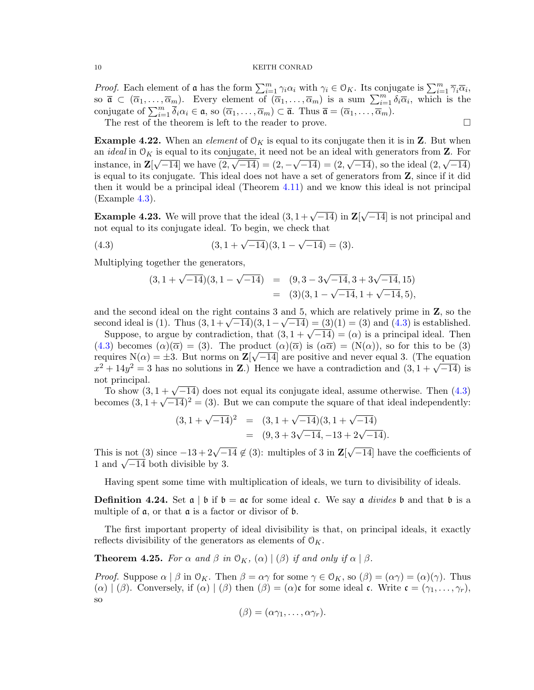*Proof.* Each element of **a** has the form  $\sum_{i=1}^{m} \gamma_i \alpha_i$  with  $\gamma_i \in \mathcal{O}_K$ . Its conjugate is  $\sum_{i=1}^{m} \overline{\gamma}_i \overline{\alpha}_i$ , so  $\overline{\mathfrak{a}} \subset (\overline{\alpha}_1,\ldots,\overline{\alpha}_m)$ . Every element of  $(\overline{\alpha}_1,\ldots,\overline{\alpha}_m)$  is a sum  $\sum_{i=1}^m \delta_i \overline{\alpha}_i$ , which is the conjugate of  $\sum_{i=1}^m \overline{\delta}_i \alpha_i \in \mathfrak{a}$ , so  $(\overline{\alpha}_1, \ldots, \overline{\alpha}_m) \subset \overline{\mathfrak{a}}$ . Thus  $\overline{\mathfrak{a}} = (\overline{\alpha}_1, \ldots, \overline{\alpha}_m)$ .

The rest of the theorem is left to the reader to prove.

**Example 4.22.** When an *element* of  $O_K$  is equal to its conjugate then it is in **Z**. But when an *ideal* in  $\mathcal{O}_K$  is equal to its conjugate, it need not be an ideal with generators from **Z**. For instance, in  $\mathbf{Z}[\sqrt{-14}]$  we have  $(2,\sqrt{-14}) = (2,-\sqrt{-14}) = (2,\sqrt{-14})$ , so the ideal  $(2,\sqrt{-14})$ is equal to its conjugate. This ideal does not have a set of generators from Z, since if it did then it would be a principal ideal (Theorem [4.11\)](#page-7-0) and we know this ideal is not principal (Example [4.3\)](#page-5-0).

<span id="page-9-2"></span>**Example 4.23.** We will prove that the ideal  $(3, 1 + \sqrt{-14})$  in Z √  $\overline{-14}$  is not principal and not equal to its conjugate ideal. To begin, we check that

(4.3) 
$$
(3, 1 + \sqrt{-14})(3, 1 - \sqrt{-14}) = (3).
$$

Multiplying together the generators,

<span id="page-9-0"></span>
$$
(3, 1 + \sqrt{-14})(3, 1 - \sqrt{-14}) = (9, 3 - 3\sqrt{-14}, 3 + 3\sqrt{-14}, 15)
$$
  
= (3)(3, 1 - \sqrt{-14}, 1 + \sqrt{-14}, 5),

and the second ideal on the right contains 3 and 5, which are relatively prime in  $\mathbf{Z}$ , so the second ideal is (1). Thus  $(3, 1 + \sqrt{-14})(3, 1 - \sqrt{-14}) = (3)(1) = (3)$  and  $(4.3)$  is established. Suppose, to argue by contradiction, that  $(3, 1 + \sqrt{-14}) = (3)(1) = (3)$  and  $(4.3)$  is established.<br>Suppose, to argue by contradiction, that  $(3, 1 + \sqrt{-14}) = (\alpha)$  is a principal ideal. Then

[\(4.3\)](#page-9-0) becomes  $(\alpha)(\overline{\alpha}) = (3)$ . The product  $(\alpha)(\overline{\alpha})$  is  $(\alpha\overline{\alpha}) = (N(\alpha))$ , so for this to be (3) requires  $N(\alpha) = \pm 3$ . But norms on  $\mathbf{Z}[\sqrt{-14}]$  are positive and never equal 3. (The equation requires  $N(\alpha) = \pm 3$ . But norms on  $\mathbb{Z}[\sqrt{-14}]$  are positive and never equal 3. (The equation  $x^2 + 14y^2 = 3$  has no solutions in **Z**.) Hence we have a contradiction and  $(3, 1 + \sqrt{-14})$  is not principal.

t principai.<br>To show  $(3, 1 + \sqrt{-14})$  does not equal its conjugate ideal, assume otherwise. Then  $(4.3)$ 10 show (3,  $1 + \sqrt{-14}$ ) does not equal its conjugate ideal, assume otherwise. Then (4.3) becomes  $(3, 1 + \sqrt{-14})^2 = (3)$ . But we can compute the square of that ideal independently:

$$
(3, 1 + \sqrt{-14})^2 = (3, 1 + \sqrt{-14})(3, 1 + \sqrt{-14})
$$
  
= (9, 3 + 3 $\sqrt{-14}$ , -13 + 2 $\sqrt{-14}$ ).

This is not (3) since  $-13 + 2\sqrt{-14} \notin (3)$ : multiples of 3 in **Z**[ √ −14] have the coefficients of 1 ms is not (5) since  $-15 + 2\sqrt{-1}$ <br>1 and  $\sqrt{-14}$  both divisible by 3.

Having spent some time with multiplication of ideals, we turn to divisibility of ideals.

**Definition 4.24.** Set  $\alpha \mid \beta$  if  $\beta = \alpha$  for some ideal c. We say  $\alpha$  *divides*  $\beta$  and that  $\beta$  is a multiple of a, or that a is a factor or divisor of b.

The first important property of ideal divisibility is that, on principal ideals, it exactly reflects divisibility of the generators as elements of  $\mathcal{O}_K$ .

<span id="page-9-1"></span>**Theorem 4.25.** For  $\alpha$  and  $\beta$  in  $\mathcal{O}_K$ ,  $(\alpha) | (\beta)$  if and only if  $\alpha | \beta$ .

*Proof.* Suppose  $\alpha \mid \beta$  in  $\mathcal{O}_K$ . Then  $\beta = \alpha \gamma$  for some  $\gamma \in \mathcal{O}_K$ , so  $(\beta) = (\alpha \gamma) = (\alpha)(\gamma)$ . Thus  $(\alpha) | (\beta)$ . Conversely, if  $(\alpha) | (\beta)$  then  $(\beta) = (\alpha)$ c for some ideal c. Write  $c = (\gamma_1, \ldots, \gamma_r)$ , so

$$
(\beta)=(\alpha\gamma_1,\ldots,\alpha\gamma_r).
$$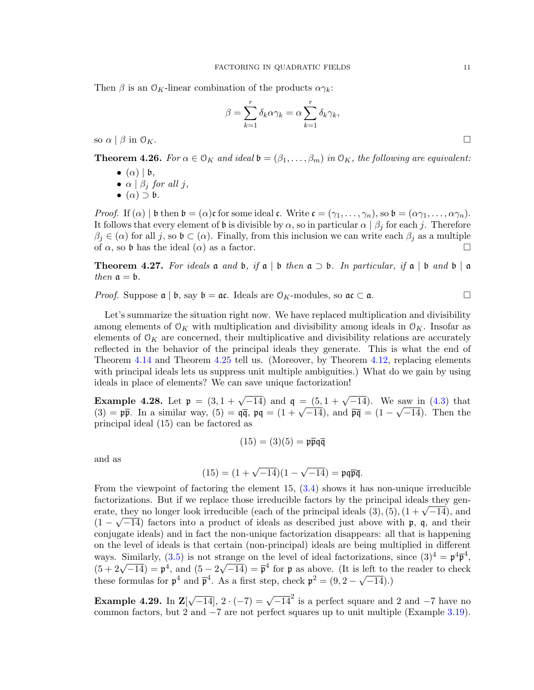Then  $\beta$  is an  $\mathcal{O}_K$ -linear combination of the products  $\alpha \gamma_k$ :

$$
\beta = \sum_{k=1}^{r} \delta_k \alpha \gamma_k = \alpha \sum_{k=1}^{r} \delta_k \gamma_k,
$$
 so  $\alpha \mid \beta$  in  $\mathcal{O}_K$ .

<span id="page-10-1"></span>**Theorem 4.26.** For  $\alpha \in \mathcal{O}_K$  and ideal  $\mathfrak{b} = (\beta_1, \dots, \beta_m)$  in  $\mathcal{O}_K$ , the following are equivalent:

- $\bullet$  ( $\alpha$ ) |  $\mathfrak{b}$ ,
- $\alpha \mid \beta_j$  for all j,
- $\bullet$   $(\alpha) \supset \mathfrak{b}$ .

*Proof.* If  $(\alpha)$  | b then  $\mathfrak{b} = (\alpha)\mathfrak{c}$  for some ideal  $\mathfrak{c}$ . Write  $\mathfrak{c} = (\gamma_1, \ldots, \gamma_n)$ , so  $\mathfrak{b} = (\alpha\gamma_1, \ldots, \alpha\gamma_n)$ . It follows that every element of  $\mathfrak b$  is divisible by  $\alpha$ , so in particular  $\alpha \mid \beta_j$  for each j. Therefore  $\beta_j \in (\alpha)$  for all j, so  $\mathfrak{b} \subset (\alpha)$ . Finally, from this inclusion we can write each  $\beta_j$  as a multiple of  $\alpha$ , so b has the ideal  $(\alpha)$  as a factor.

<span id="page-10-0"></span>**Theorem 4.27.** For ideals **a** and **b**, if **a** | **b** then  $\mathfrak{a} \supset \mathfrak{b}$ . In particular, if  $\mathfrak{a} \mid \mathfrak{b}$  and  $\mathfrak{b} \mid \mathfrak{a}$ then  $\mathfrak{a} = \mathfrak{b}$ .

*Proof.* Suppose  $\mathfrak{a} \mid \mathfrak{b}$ , say  $\mathfrak{b} = \mathfrak{a}$ . Ideals are  $\mathfrak{O}_K$ -modules, so  $\mathfrak{a} \subset \mathfrak{a}$ .

Let's summarize the situation right now. We have replaced multiplication and divisibility among elements of  $\mathcal{O}_K$  with multiplication and divisibility among ideals in  $\mathcal{O}_K$ . Insofar as elements of  $\mathcal{O}_K$  are concerned, their multiplicative and divisibility relations are accurately reflected in the behavior of the principal ideals they generate. This is what the end of Theorem [4.14](#page-7-3) and Theorem [4.25](#page-9-1) tell us. (Moreover, by Theorem [4.12,](#page-7-5) replacing elements with principal ideals lets us suppress unit multiple ambiguities.) What do we gain by using ideals in place of elements? We can save unique factorization!

<span id="page-10-2"></span>Example 4.28. Let  $\mathfrak{p} = (3, 1 + \sqrt{-14})$  and  $\mathfrak{q} = (5, 1 + \sqrt{-14})$ . We saw in [\(4.3\)](#page-9-0) that **Example 4.28.** Let  $\mathbf{p} = (3, 1 + \sqrt{-14})$  and  $\mathbf{q} = (3, 1 + \sqrt{-14})$ . We saw in (4.3) that <br>(3) =  $\mathbf{p}\bar{\mathbf{p}}$ . In a similar way, (5) =  $\mathbf{q}\bar{\mathbf{q}}$ ,  $\mathbf{p}\mathbf{q} = (1 + \sqrt{-14})$ , and  $\bar{\mathbf{p}}\bar{\mathbf{q}} = (1 - \sqrt{-14})$ . Then th principal ideal (15) can be factored as

$$
(15) = (3)(5) = \mathfrak{p}\overline{\mathfrak{p}}\mathfrak{q}\overline{\mathfrak{q}}
$$

and as

$$
(15) = (1 + \sqrt{-14})(1 - \sqrt{-14}) = \mathfrak{p}\mathfrak{q}\overline{\mathfrak{p}}\overline{\mathfrak{q}}.
$$

From the viewpoint of factoring the element  $15, (3.4)$  $15, (3.4)$  shows it has non-unique irreducible factorizations. But if we replace those irreducible factors by the principal ideals they genractorizations. But if we replace those irreducible factors by the principal ideals they generate, they no longer look irreducible (each of the principal ideals  $(3)$ , $(5)$ ,  $(1 + \sqrt{-14})$ , and  $(1 - \sqrt{-14})$  factors into a product of ideals as described just above with p, q, and their conjugate ideals) and in fact the non-unique factorization disappears: all that is happening on the level of ideals is that certain (non-principal) ideals are being multiplied in different ways. Similarly, [\(3.5\)](#page-4-2) is not strange on the level of ideal factorizations, since  $(3)^4 = \mathfrak{p}^4 \overline{\mathfrak{p}}^4$ , ways. Similarly, (3.3) is not s<br> $(5 + 2\sqrt{-14}) = \mathfrak{p}^4$ , and  $(5 - 2)$ √  $\overline{-14}$ ) =  $\overline{p}^4$  for p as above. (It is left to the reader to check  $(3 + 2\sqrt{-14}) = \mathfrak{p}$ , and  $(3 - 2\sqrt{-14}) = \mathfrak{p}$  for  $\mathfrak{p}$  as above. (it is in these formulas for  $\mathfrak{p}^4$  and  $\bar{\mathfrak{p}}^4$ . As a first step, check  $\mathfrak{p}^2 = (9, 2 - \sqrt{14})$  $(-14).$ 

Example 4.29. In Z[  $\sqrt{-14}$ ,  $2 \cdot (-7) = \sqrt{-14}^2$  is a perfect square and 2 and -7 have no common factors, but 2 and  $-7$  are not perfect squares up to unit multiple (Example [3.19\)](#page-5-2).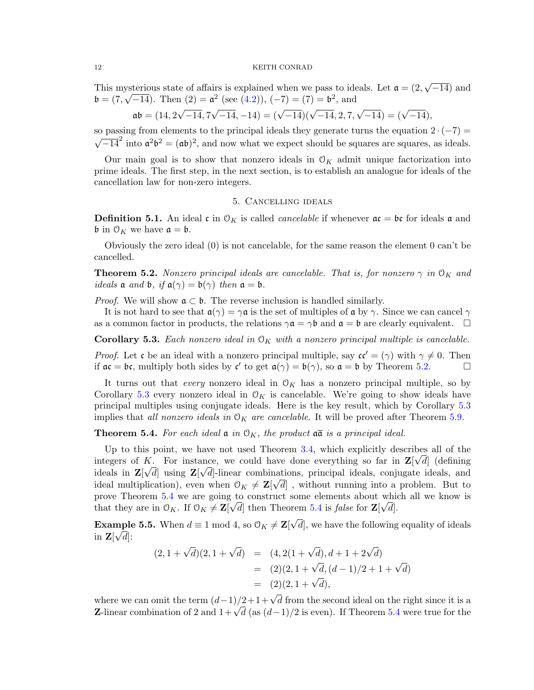This mysterious state of affairs is explained when we pass to ideals. Let  $\mathfrak{a} = (2, 1)$ √ ysterious state of affairs is explained when we pass to ideals. Let  $\mathfrak{a} = (2, \sqrt{-14})$  and  $\mathfrak{b} = (7, \sqrt{-14})$ . Then  $(2) = \mathfrak{a}^2$  (see  $(4.2)$ ),  $(-7) = (7) = \mathfrak{b}^2$ , and

$$
\mathfrak{a}\mathfrak{b} = (14, 2\sqrt{-14}, 7\sqrt{-14}, -14) = (\sqrt{-14})(\sqrt{-14}, 2, 7, \sqrt{-14}) = (\sqrt{-14}),
$$

so passing from elements to the principal ideals they generate turns the equation  $2 \cdot (-7) =$ so passing non-elements to the principal ideals they generate turns the equation  $2 \cdot (-i) = \sqrt{-14}^2$  into  $\mathfrak{a}^2 \mathfrak{b}^2 = (\mathfrak{a} \mathfrak{b})^2$ , and now what we expect should be squares are squares, as ideals.

Our main goal is to show that nonzero ideals in  $\mathcal{O}_K$  admit unique factorization into prime ideals. The first step, in the next section, is to establish an analogue for ideals of the cancellation law for non-zero integers.

### 5. Cancelling ideals

**Definition 5.1.** An ideal c in  $\mathcal{O}_K$  is called *cancelable* if whenever  $\mathfrak{a} \mathfrak{c} = \mathfrak{b} \mathfrak{c}$  for ideals  $\mathfrak{a}$  and  $\mathfrak b$  in  $\mathfrak O_K$  we have  $\mathfrak a = \mathfrak b$ .

Obviously the zero ideal (0) is not cancelable, for the same reason the element 0 can't be cancelled.

<span id="page-11-1"></span>**Theorem 5.2.** Nonzero principal ideals are cancelable. That is, for nonzero  $\gamma$  in  $\mathcal{O}_K$  and *ideals*  $\mathfrak{a}$  *and*  $\mathfrak{b}$ , *if*  $\mathfrak{a}(\gamma) = \mathfrak{b}(\gamma)$  *then*  $\mathfrak{a} = \mathfrak{b}$ .

*Proof.* We will show  $a \subset b$ . The reverse inclusion is handled similarly.

It is not hard to see that  $a(\gamma) = \gamma a$  is the set of multiples of a by  $\gamma$ . Since we can cancel  $\gamma$ as a common factor in products, the relations  $\gamma \mathfrak{a} = \gamma \mathfrak{b}$  and  $\mathfrak{a} = \mathfrak{b}$  are clearly equivalent.  $\Box$ 

<span id="page-11-2"></span>**Corollary 5.3.** Each nonzero ideal in  $O_K$  with a nonzero principal multiple is cancelable.

*Proof.* Let c be an ideal with a nonzero principal multiple, say  $c\mathfrak{c}' = (\gamma)$  with  $\gamma \neq 0$ . Then if  $ac = bc$ , multiply both sides by  $c'$  to get  $a(\gamma) = b(\gamma)$ , so  $a = b$  by Theorem [5.2.](#page-11-1)

It turns out that *every* nonzero ideal in  $\mathcal{O}_K$  has a nonzero principal multiple, so by Corollary [5.3](#page-11-2) every nonzero ideal in  $\mathcal{O}_K$  is cancelable. We're going to show ideals have principal multiples using conjugate ideals. Here is the key result, which by Corollary [5.3](#page-11-2) implies that all nonzero ideals in  $\mathcal{O}_K$  are cancelable. It will be proved after Theorem [5.9.](#page-13-0)

<span id="page-11-0"></span>**Theorem 5.4.** For each ideal  $\mathfrak{a}$  in  $\mathfrak{O}_K$ , the product  $\mathfrak{a}\bar{\mathfrak{a}}$  is a principal ideal.

Up to this point, we have not used Theorem [3.4,](#page-1-3) which explicitly describes all of the integers of K. For instance, we could have done everything so far in  $\mathbf{Z}[\sqrt{d}]$  (defining ideals in  $\mathbf{Z}[\sqrt{d}]$  using  $\mathbf{Z}[\sqrt{d}]$ -linear combinations, principal ideals, conjugate ideals, and ideal multiplication), even when  $0_K \neq \mathbf{Z}[\sqrt{d}]$ , without running into a problem. But to prove Theorem [5.4](#page-11-0) we are going to construct some elements about which all we know is that they are in  $\mathcal{O}_K$ . If  $\mathcal{O}_K \neq \mathbb{Z}[\sqrt{d}]$  then Theorem [5.4](#page-11-0) is *false* for  $\mathbb{Z}[\sqrt{d}]$ . √

<span id="page-11-3"></span>**Example 5.5.** When  $d \equiv 1 \bmod{4}$ , so  $\mathcal{O}_K \neq \mathbf{Z}[$ mple 5.5. When  $d \equiv 1 \mod 4$ , so  $\mathcal{O}_K \neq \mathbf{Z}[\sqrt{d}]$ , we have the following equality of ideals in  $\mathbf{Z}[\sqrt{d}]$ :

$$
(2, 1 + \sqrt{d})(2, 1 + \sqrt{d}) = (4, 2(1 + \sqrt{d}), d + 1 + 2\sqrt{d})
$$
  
= (2)(2, 1 + \sqrt{d}, (d - 1)/2 + 1 + \sqrt{d})  
= (2)(2, 1 + \sqrt{d}),

where we can omit the term  $(d-1)/2+1+\sqrt{d}$  from the second ideal on the right since it is a where we can omit the term  $(a-1)/2+1+\sqrt{d}$  from the second ideal on the right since it is a<br>**Z**-linear combination of 2 and  $1+\sqrt{d}$  (as  $(d-1)/2$  is even). If Theorem [5.4](#page-11-0) were true for the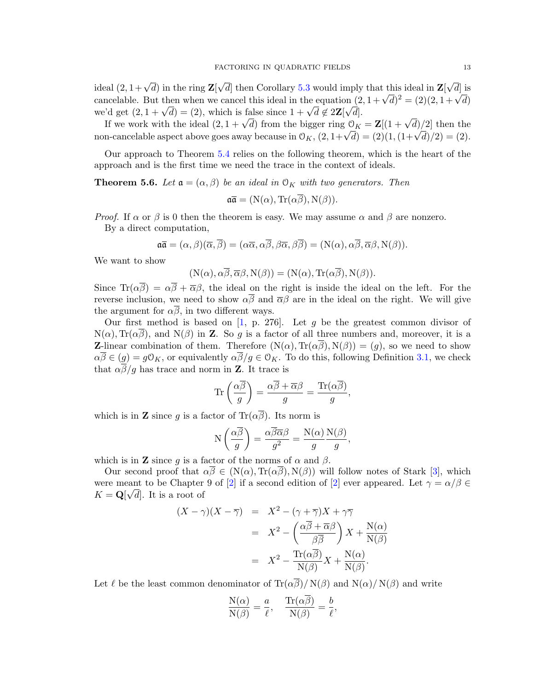ideal  $(2, 1+\sqrt{d})$  in the ring **Z**[ √ d then Corollary [5.3](#page-11-2) would imply that this ideal in  $\mathbf{Z}$  $√($  $d$ ] is cancelable. But then when we cancel this ideal in the equation  $(2, 1 + \sqrt{d})^2 = (2)(2, 1 + \sqrt{d})^2$ cancelable. But then when we cancel this ideal in the equation  $(2 \text{ we'd get } (2, 1 + \sqrt{d}) = (2),$  which is false since  $1 + \sqrt{d} \notin 2\mathbf{Z}[\sqrt{d}]$ .

If we work with the ideal  $(2, 1 + \sqrt{d})$  from the bigger ring  $\mathcal{O}_K = \mathbf{Z}[(1 + \sqrt{d})/2]$  then the If we work with the ideal  $(2, 1 + \sqrt{a})$  from the bigger ring  $\bigcup_{K} = \mathbb{Z}[(1 + \sqrt{a})/2]$  then the non-cancelable aspect above goes away because in  $\bigcup_{K} (2, 1 + \sqrt{d}) = (2)(1, (1 + \sqrt{d})/2) = (2)$ .

Our approach to Theorem [5.4](#page-11-0) relies on the following theorem, which is the heart of the approach and is the first time we need the trace in the context of ideals.

<span id="page-12-0"></span>**Theorem 5.6.** Let  $\mathfrak{a} = (\alpha, \beta)$  be an ideal in  $\mathfrak{O}_K$  with two generators. Then

$$
\mathfrak{a}\overline{\mathfrak{a}} = (\mathcal{N}(\alpha), \text{Tr}(\alpha\beta), \mathcal{N}(\beta)).
$$

*Proof.* If  $\alpha$  or  $\beta$  is 0 then the theorem is easy. We may assume  $\alpha$  and  $\beta$  are nonzero. By a direct computation,

$$
\mathfrak{a}\overline{\mathfrak{a}}=(\alpha,\beta)(\overline{\alpha},\overline{\beta})=(\alpha\overline{\alpha},\alpha\overline{\beta},\beta\overline{\alpha},\beta\overline{\beta})=(N(\alpha),\alpha\overline{\beta},\overline{\alpha}\beta,N(\beta)).
$$

We want to show

$$
(N(\alpha), \alpha\overline{\beta}, \overline{\alpha}\beta, N(\beta)) = (N(\alpha), Tr(\alpha\overline{\beta}), N(\beta)).
$$

Since  $\text{Tr}(\alpha \overline{\beta}) = \alpha \overline{\beta} + \overline{\alpha} \beta$ , the ideal on the right is inside the ideal on the left. For the reverse inclusion, we need to show  $\alpha\overline{\beta}$  and  $\overline{\alpha}\beta$  are in the ideal on the right. We will give the argument for  $\alpha\overline{\beta}$ , in two different ways.

Our first method is based on  $[1, p. 276]$  $[1, p. 276]$ . Let g be the greatest common divisor of  $N(\alpha)$ , Tr( $\alpha\beta$ ), and  $N(\beta)$  in **Z**. So g is a factor of all three numbers and, moreover, it is a **Z**-linear combination of them. Therefore  $(N(\alpha), Tr(\alpha\beta), N(\beta)) = (g)$ , so we need to show  $\alpha\overline{\beta}\in(g)=g\mathbb{O}_K$ , or equivalently  $\alpha\overline{\beta}/g\in\mathbb{O}_K$ . To do this, following Definition [3.1,](#page-1-2) we check that  $\alpha \overline{\beta}/g$  has trace and norm in **Z**. It trace is

$$
\operatorname{Tr}\left(\frac{\alpha\overline{\beta}}{g}\right) = \frac{\alpha\overline{\beta} + \overline{\alpha}\beta}{g} = \frac{\operatorname{Tr}(\alpha\overline{\beta})}{g},
$$

which is in **Z** since g is a factor of  $\text{Tr}(\alpha \overline{\beta})$ . Its norm is

$$
N\left(\frac{\alpha\overline{\beta}}{g}\right) = \frac{\alpha\overline{\beta}\overline{\alpha}\beta}{g^2} = \frac{N(\alpha)}{g}\frac{N(\beta)}{g},
$$

which is in **Z** since g is a factor of the norms of  $\alpha$  and  $\beta$ .

Our second proof that  $\alpha\overline{\beta} \in (N(\alpha), \text{Tr}(\alpha\overline{\beta}), N(\beta))$  will follow notes of Stark [\[3\]](#page-23-1), which were meant to be Chapter 9 of [\[2\]](#page-23-2) if a second edition of [2] ever appeared. Let  $\gamma = \alpha/\beta \in \mathbb{R}$  $K = \mathbf{Q}[\sqrt{d}]$ . It is a root of

$$
(X - \gamma)(X - \overline{\gamma}) = X^2 - (\gamma + \overline{\gamma})X + \gamma \overline{\gamma}
$$
  
=  $X^2 - \left(\frac{\alpha \overline{\beta} + \overline{\alpha} \beta}{\beta \overline{\beta}}\right)X + \frac{N(\alpha)}{N(\beta)}$   
=  $X^2 - \frac{\text{Tr}(\alpha \overline{\beta})}{N(\beta)}X + \frac{N(\alpha)}{N(\beta)}$ .

Let  $\ell$  be the least common denominator of  $\text{Tr}(\alpha \overline{\beta})/ N(\beta)$  and  $N(\alpha)/ N(\beta)$  and write

$$
\frac{\mathrm{N}(\alpha)}{\mathrm{N}(\beta)} = \frac{a}{\ell}, \quad \frac{\mathrm{Tr}(\alpha \overline{\beta})}{\mathrm{N}(\beta)} = \frac{b}{\ell},
$$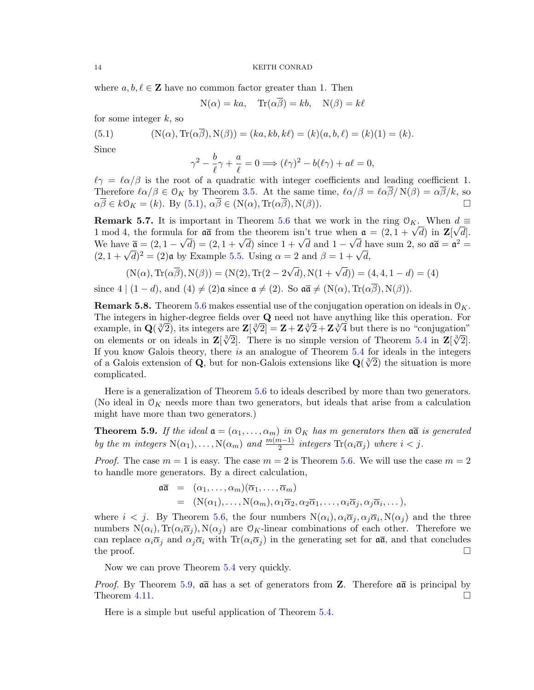where  $a, b, \ell \in \mathbb{Z}$  have no common factor greater than 1. Then

$$
N(\alpha) = ka
$$
,  $Tr(\alpha \overline{\beta}) = kb$ ,  $N(\beta) = k\ell$ 

for some integer  $k$ , so

(5.1) 
$$
(N(\alpha), Tr(\alpha \overline{\beta}), N(\beta)) = (ka, kb, k\ell) = (k)(a, b, \ell) = (k)(1) = (k).
$$

Since

<span id="page-13-1"></span>
$$
\gamma^2 - \frac{b}{\ell}\gamma + \frac{a}{\ell} = 0 \Longrightarrow (\ell\gamma)^2 - b(\ell\gamma) + a\ell = 0,
$$

 $\ell\gamma = \ell\alpha/\beta$  is the root of a quadratic with integer coefficients and leading coefficient 1. Therefore  $\ell \alpha/\beta \in \mathcal{O}_K$  by Theorem [3.5.](#page-2-3) At the same time,  $\ell \alpha/\beta = \ell \alpha \overline{\beta}/N(\beta) = \alpha \overline{\beta}/k$ , so  $\alpha \overline{\beta} \in k\mathcal{O}_K = (k)$ . By [\(5.1\)](#page-13-1),  $\alpha \overline{\beta} \in (N(\alpha), \text{Tr}(\alpha \overline{\beta}), N(\beta))$ .

**Remark 5.7.** It is important in Theorem [5.6](#page-12-0) that we work in the ring  $\mathcal{O}_K$ . When  $d \equiv$ **REMARK 5.7.** It is important in Theorem 5.6 that we work in the ring  $\mathcal{O}_K$ . When  $a \equiv 1 \mod 4$ , the formula for  $a \bar{a}$  from the theorem isn't true when  $a = (2, 1 + \sqrt{d})$  in  $\mathbb{Z}[\sqrt{d}]$ . T mod 4, the formula for an from the theorem isn't true when  $\mathbf{a} = (2, 1 + \sqrt{a})$  in  $\mathbf{z}[ \sqrt{a}]$ .<br>We have  $\overline{\mathbf{a}} = (2, 1 - \sqrt{d}) = (2, 1 + \sqrt{d})$  since  $1 + \sqrt{d}$  and  $1 - \sqrt{d}$  have sum 2, so  $\mathbf{a}\overline{\mathbf{a}} = \mathbf{a}^2 =$ we have  $\mathbf{a} = (2, 1 - \sqrt{a}) = (2, 1 + \sqrt{a})$  since  $1 + \sqrt{a}$  and  $1 - \sqrt{a}$  h.<br>  $(2, 1 + \sqrt{a})^2 = (2)\mathbf{a}$  by Example [5.5.](#page-11-3) Using  $\alpha = 2$  and  $\beta = 1 + \sqrt{a}$ .

$$
(N(\alpha), Tr(\alpha \overline{\beta}), N(\beta)) = (N(2), Tr(2 - 2\sqrt{d}), N(1 + \sqrt{d})) = (4, 4, 1 - d) = (4)
$$

since  $4 | (1 - d)$ , and  $(4) \neq (2)$ a since  $a \neq (2)$ . So  $a\overline{a} \neq (N(\alpha), Tr(\alpha\overline{\beta}), N(\beta)).$ 

**Remark 5.8.** Theorem [5.6](#page-12-0) makes essential use of the conjugation operation on ideals in  $\mathcal{O}_K$ . The integers in higher-degree fields over Q need not have anything like this operation. For The integers in higher-degree helds over **Q** heed not have anything like this operation. For example, in  $\mathbf{Q}(\sqrt[3]{2})$ , its integers are  $\mathbf{Z}[\sqrt[3]{2}] = \mathbf{Z} + \mathbf{Z}\sqrt[3]{2} + \mathbf{Z}\sqrt[3]{4}$  but there is no "conjugation" example, in  $\mathbf{Q}(\sqrt{2})$ , its integers are  $\mathbf{Z}[\sqrt{2}] = \mathbf{Z} + \mathbf{Z}\sqrt{2} + \mathbf{Z}\sqrt{4}$  but there is no conjugation<br>on elements or on ideals in  $\mathbf{Z}[\sqrt[3]{2}]$ . There is no simple version of Theorem [5.4](#page-11-0) in  $\mathbf{Z}[\sqrt[3]{2}]$ . If you know Galois theory, there is an analogue of Theorem [5.4](#page-11-0) for ideals in the integers<br>of a Calois sytemion of  $\Omega$  but for non-Calois sytemions like  $\Omega^{(\beta/2)}$  the situation is more of a Galois extension of Q, but for non-Galois extensions like  $Q(\sqrt[3]{2})$  the situation is more complicated.

Here is a generalization of Theorem [5.6](#page-12-0) to ideals described by more than two generators. (No ideal in  $\mathcal{O}_K$  needs more than two generators, but ideals that arise from a calculation might have more than two generators.)

<span id="page-13-0"></span>**Theorem 5.9.** If the ideal  $\mathfrak{a} = (\alpha_1, \dots, \alpha_m)$  in  $\mathfrak{O}_K$  has m generators then  $\mathfrak{a}\bar{\mathfrak{a}}$  is generated by the m integers  $N(\alpha_1), \ldots, N(\alpha_m)$  and  $\frac{m(m-1)}{2}$  integers  $\text{Tr}(\alpha_i \overline{\alpha}_j)$  where  $i < j$ .

*Proof.* The case  $m = 1$  is easy. The case  $m = 2$  is Theorem [5.6.](#page-12-0) We will use the case  $m = 2$ to handle more generators. By a direct calculation,

$$
\begin{array}{rcl}\n\overline{\mathfrak{a}} & = & (\alpha_1, \dots, \alpha_m)(\overline{\alpha}_1, \dots, \overline{\alpha}_m) \\
& = & (\mathcal{N}(\alpha_1), \dots, \mathcal{N}(\alpha_m), \alpha_1 \overline{\alpha}_2, \alpha_2 \overline{\alpha}_1, \dots, \alpha_i \overline{\alpha}_j, \alpha_j \overline{\alpha}_i, \dots),\n\end{array}
$$

where  $i < j$ . By Theorem [5.6,](#page-12-0) the four numbers  $N(\alpha_i)$ ,  $\alpha_i \overline{\alpha}_j$ ,  $\alpha_j \overline{\alpha}_i$ ,  $N(\alpha_j)$  and the three numbers  $N(\alpha_i)$ ,  $Tr(\alpha_i \overline{\alpha}_i)$ ,  $N(\alpha_i)$  are  $\mathcal{O}_K$ -linear combinations of each other. Therefore we can replace  $\alpha_i \overline{\alpha}_i$  and  $\alpha_j \overline{\alpha}_i$  with  $\text{Tr}(\alpha_i \overline{\alpha}_j)$  in the generating set for  $\mathfrak{a}\overline{\mathfrak{a}}$ , and that concludes the proof.  $\Box$ 

Now we can prove Theorem [5.4](#page-11-0) very quickly.

*Proof.* By Theorem [5.9,](#page-13-0)  $\alpha\bar{\alpha}$  has a set of generators from **Z**. Therefore  $\alpha\bar{\alpha}$  is principal by Theorem [4.11.](#page-7-0)  $\Box$ 

Here is a simple but useful application of Theorem [5.4.](#page-11-0)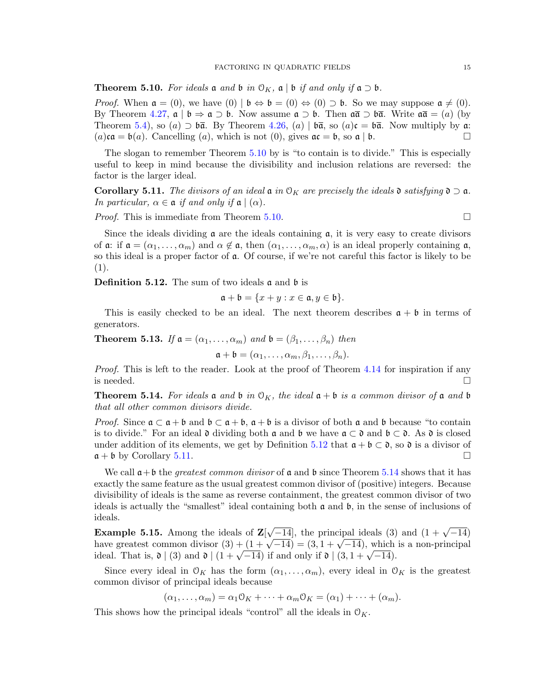<span id="page-14-0"></span>**Theorem 5.10.** For ideals  $\mathfrak{a}$  and  $\mathfrak{b}$  in  $\mathfrak{O}_K$ ,  $\mathfrak{a} \mid \mathfrak{b}$  if and only if  $\mathfrak{a} \supset \mathfrak{b}$ .

*Proof.* When  $\mathfrak{a} = (0)$ , we have  $(0) | \mathfrak{b} \Leftrightarrow \mathfrak{b} = (0) \Leftrightarrow (0) \supset \mathfrak{b}$ . So we may suppose  $\mathfrak{a} \neq (0)$ . By Theorem [4.27,](#page-10-0)  $\mathfrak{a} \mid \mathfrak{b} \Rightarrow \mathfrak{a} \supset \mathfrak{b}$ . Now assume  $\mathfrak{a} \supset \mathfrak{b}$ . Then  $\mathfrak{a} \overline{\mathfrak{a}} \supset \mathfrak{b} \overline{\mathfrak{a}}$ . Write  $\mathfrak{a} \overline{\mathfrak{a}} = (a)$  (by Theorem [5.4\)](#page-11-0), so (a)  $\supset \mathfrak{b}\bar{\mathfrak{a}}$ . By Theorem [4.26,](#page-10-1) (a)  $\mid \mathfrak{b}\bar{\mathfrak{a}}$ , so (a)c =  $\mathfrak{b}\bar{\mathfrak{a}}$ . Now multiply by a:  $(a)$ ca =  $\mathfrak{b}(a)$ . Cancelling  $(a)$ , which is not  $(0)$ , gives  $\mathfrak{a}\mathfrak{c} = \mathfrak{b}$ , so  $\mathfrak{a} \mid \mathfrak{b}$ .

The slogan to remember Theorem [5.10](#page-14-0) by is "to contain is to divide." This is especially useful to keep in mind because the divisibility and inclusion relations are reversed: the factor is the larger ideal.

<span id="page-14-2"></span>**Corollary 5.11.** The divisors of an ideal  $\mathfrak{a}$  in  $\mathfrak{O}_K$  are precisely the ideals  $\mathfrak{d}$  satisfying  $\mathfrak{d} \supset \mathfrak{a}$ . In particular,  $\alpha \in \mathfrak{a}$  if and only if  $\mathfrak{a} \mid (\alpha)$ .

*Proof.* This is immediate from Theorem [5.10.](#page-14-0)

Since the ideals dividing  $\alpha$  are the ideals containing  $\alpha$ , it is very easy to create divisors of  $\alpha$ : if  $\mathfrak{a} = (\alpha_1, \ldots, \alpha_m)$  and  $\alpha \notin \mathfrak{a}$ , then  $(\alpha_1, \ldots, \alpha_m, \alpha)$  is an ideal properly containing  $\mathfrak{a}$ , so this ideal is a proper factor of a. Of course, if we're not careful this factor is likely to be (1).

<span id="page-14-1"></span>**Definition 5.12.** The sum of two ideals  $\mathfrak{a}$  and  $\mathfrak{b}$  is

$$
\mathfrak{a} + \mathfrak{b} = \{x + y : x \in \mathfrak{a}, y \in \mathfrak{b}\}.
$$

This is easily checked to be an ideal. The next theorem describes  $a + b$  in terms of generators.

**Theorem 5.13.** If  $a = (\alpha_1, \ldots, \alpha_m)$  and  $b = (\beta_1, \ldots, \beta_n)$  then

$$
\mathfrak{a} + \mathfrak{b} = (\alpha_1, \ldots, \alpha_m, \beta_1, \ldots, \beta_n).
$$

Proof. This is left to the reader. Look at the proof of Theorem [4.14](#page-7-3) for inspiration if any is needed.  $\Box$ 

<span id="page-14-3"></span>**Theorem 5.14.** For ideals a and b in  $\mathcal{O}_K$ , the ideal  $\mathfrak{a} + \mathfrak{b}$  is a common divisor of a and b that all other common divisors divide.

*Proof.* Since  $\mathfrak{a} \subset \mathfrak{a} + \mathfrak{b}$  and  $\mathfrak{b} \subset \mathfrak{a} + \mathfrak{b}$ ,  $\mathfrak{a} + \mathfrak{b}$  is a divisor of both  $\mathfrak{a}$  and  $\mathfrak{b}$  because "to contain is to divide." For an ideal  $\mathfrak d$  dividing both  $\mathfrak a$  and  $\mathfrak b$  we have  $\mathfrak a \subset \mathfrak d$  and  $\mathfrak b \subset \mathfrak d$ . As  $\mathfrak d$  is closed under addition of its elements, we get by Definition [5.12](#page-14-1) that  $\mathfrak{a} + \mathfrak{b} \subset \mathfrak{d}$ , so  $\mathfrak{d}$  is a divisor of  $\mathfrak{a} + \mathfrak{b}$  by Corollary [5.11.](#page-14-2)

We call  $\mathfrak{a}+\mathfrak{b}$  the *greatest common divisor* of  $\mathfrak{a}$  and  $\mathfrak{b}$  since Theorem [5.14](#page-14-3) shows that it has exactly the same feature as the usual greatest common divisor of (positive) integers. Because divisibility of ideals is the same as reverse containment, the greatest common divisor of two ideals is actually the "smallest" ideal containing both  $\alpha$  and  $\beta$ , in the sense of inclusions of ideals.

**Example 5.15.** Among the ideals of  $\mathbf{Z}$  $\sqrt{-14}$ , the principal ideals (3) and  $(1 + \sqrt{-14})$ **Example 5.15.** Among the ideals of  $\mathbb{Z}[\sqrt{-14}]$ , the principal ideals (3) and  $(1 + \sqrt{-14})$  have greatest common divisor  $(3) + (1 + \sqrt{-14}) = (3, 1 + \sqrt{-14})$ , which is a non-principal have greatest common divisor  $(3) + (1 + \sqrt{-14}) = (3, 1 + \sqrt{-14})$ , which<br>ideal. That is,  $\mathfrak{d} \mid (3)$  and  $\mathfrak{d} \mid (1 + \sqrt{-14})$  if and only if  $\mathfrak{d} \mid (3, 1 + \sqrt{-14})$ .

Since every ideal in  $\mathcal{O}_K$  has the form  $(\alpha_1, \ldots, \alpha_m)$ , every ideal in  $\mathcal{O}_K$  is the greatest common divisor of principal ideals because

 $(\alpha_1, \ldots, \alpha_m) = \alpha_1 \mathcal{O}_K + \cdots + \alpha_m \mathcal{O}_K = (\alpha_1) + \cdots + (\alpha_m).$ 

This shows how the principal ideals "control" all the ideals in  $\mathcal{O}_K$ .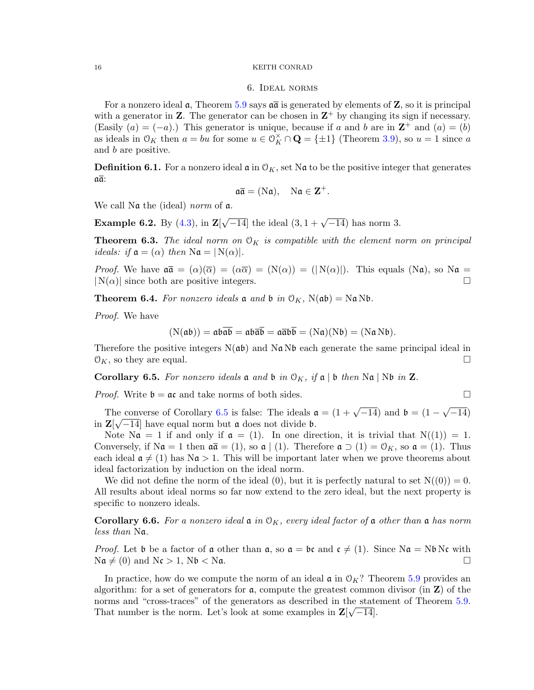#### 6. Ideal norms

For a nonzero ideal  $\alpha$ , Theorem [5.9](#page-13-0) says  $\alpha\overline{\alpha}$  is generated by elements of Z, so it is principal with a generator in **Z**. The generator can be chosen in  $\mathbb{Z}^+$  by changing its sign if necessary. (Easily  $(a) = (-a)$ .) This generator is unique, because if a and b are in  $\mathbb{Z}^+$  and  $(a) = (b)$ as ideals in  $\mathcal{O}_K$  then  $a = bu$  for some  $u \in \mathcal{O}_K^{\times} \cap \mathbf{Q} = {\pm 1}$  (Theorem [3.9\)](#page-3-2), so  $u = 1$  since a and b are positive.

**Definition 6.1.** For a nonzero ideal  $\mathfrak{a}$  in  $\mathcal{O}_K$ , set N $\mathfrak{a}$  to be the positive integer that generates aa:

$$
\mathfrak{a}\overline{\mathfrak{a}}=(N\mathfrak{a}),\quad N\mathfrak{a}\in\mathbf{Z}^+.
$$

We call Na the (ideal) norm of  $a$ .

**Example 6.2.** By  $(4.3)$ , in **Z**[  $\sqrt{-14}$  the ideal  $(3, 1 + \sqrt{-14})$  has norm 3.

**Theorem 6.3.** The ideal norm on  $O_K$  is compatible with the element norm on principal *ideals: if*  $a = (\alpha)$  *then*  $Na = |N(\alpha)|$ *.* 

*Proof.* We have  $\mathfrak{a}\bar{\mathfrak{a}} = (\alpha)(\bar{\alpha}) = (\alpha\bar{\alpha}) = (N(\alpha)) = (N(\alpha))$ . This equals  $(N\mathfrak{a})$ , so  $N\mathfrak{a} =$  $|N(\alpha)|$  since both are positive integers.

**Theorem 6.4.** For nonzero ideals **a** and **b** in  $\mathcal{O}_K$ ,  $N(\mathfrak{ab}) = N\mathfrak{a} N\mathfrak{b}$ .

Proof. We have

$$
(N(\mathfrak{a}\mathfrak{b})) = \mathfrak{a}\mathfrak{b}\overline{\mathfrak{a}\mathfrak{b}} = \mathfrak{a}\mathfrak{b}\overline{\mathfrak{a}\mathfrak{b}} = \mathfrak{a}\overline{\mathfrak{a}}\mathfrak{b}\overline{\mathfrak{b}} = (N\mathfrak{a})(N\mathfrak{b}) = (N\mathfrak{a}N\mathfrak{b}).
$$

Therefore the positive integers  $N(a\mathfrak{b})$  and  $N\mathfrak{a} N\mathfrak{b}$  each generate the same principal ideal in  $\mathcal{O}_K$ , so they are equal.

<span id="page-15-0"></span>**Corollary 6.5.** For nonzero ideals **a** and **b** in  $\mathcal{O}_K$ , if **a** | **b** then N**a** | N**b** in **Z**.

*Proof.* Write  $\mathfrak{b} = \mathfrak{a} \mathfrak{c}$  and take norms of both sides.

The converse of Corollary [6.5](#page-15-0) is false: The ideals  $\mathfrak{a} = (1 + \sqrt{-14})$  and  $\mathfrak{b} = (1 - \sqrt{-14})$ √ ne converse of Corollary 6.5 is false: The ideals  $\mathfrak{a} = (1 + \sqrt{-14})$  and  $\mathfrak{b} = (1 - \sqrt{-14})$ in  $\mathbf{Z}[\sqrt{-14}]$  have equal norm but a does not divide b.

Note  $\mathbb{N}\mathfrak{a} = 1$  if and only if  $\mathfrak{a} = (1)$ . In one direction, it is trivial that  $\mathcal{N}((1)) = 1$ . Conversely, if  $\mathrm{Na} = 1$  then  $\mathfrak{a} \bar{\mathfrak{a}} = (1)$ , so  $\mathfrak{a} \mid (1)$ . Therefore  $\mathfrak{a} \supset (1) = \mathfrak{O}_K$ , so  $\mathfrak{a} = (1)$ . Thus each ideal  $\mathfrak{a} \neq (1)$  has  $\mathbb{N}\mathfrak{a} > 1$ . This will be important later when we prove theorems about ideal factorization by induction on the ideal norm.

We did not define the norm of the ideal (0), but it is perfectly natural to set  $N((0)) = 0$ . All results about ideal norms so far now extend to the zero ideal, but the next property is specific to nonzero ideals.

**Corollary 6.6.** For a nonzero ideal  $\mathfrak{a}$  in  $\mathfrak{O}_K$ , every ideal factor of  $\mathfrak{a}$  other than  $\mathfrak{a}$  has norm less than Na.

*Proof.* Let b be a factor of a other than  $\alpha$ , so  $\alpha = \beta c$  and  $c \neq (1)$ . Since N $\alpha = N\beta$  Nc with  $\mathrm{N}\mathfrak{a} \neq (0)$  and  $\mathrm{N}\mathfrak{c} > 1$ ,  $\mathrm{N}\mathfrak{b} < \mathrm{N}\mathfrak{a}$ .

In practice, how do we compute the norm of an ideal  $\mathfrak{a}$  in  $\mathfrak{O}_K$ ? Theorem [5.9](#page-13-0) provides an algorithm: for a set of generators for  $a$ , compute the greatest common divisor (in  $Z$ ) of the norms and "cross-traces" of the generators as described in the statement of Theorem [5.9.](#page-13-0) That number is the norm. Let's look at some examples in  $\mathbf{Z}[\sqrt{-14}]$ .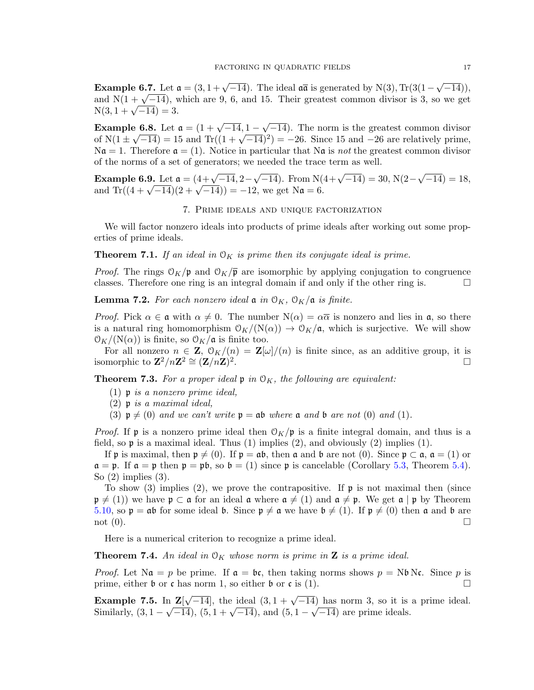**Example 6.7.** Let  $\mathfrak{a} = (3, 1 + \sqrt{-14})$ . The ideal  $\mathfrak{a}\bar{\mathfrak{a}}$  is generated by N(3), Tr(3(1 – √  $(-14)),$ **EXAMPIE 0.7.** Let  $\mathfrak{a} = (3, 1 + \sqrt{-14})$ . The ideal  $\mathfrak{a}$  is generated by  $N(3)$ ,  $\Gamma(3(1 - \sqrt{-14}))$ , and  $N(1 + \sqrt{-14})$ , which are 9, 6, and 15. Their greatest common divisor is 3, so we get and  $N(1 + \sqrt{-14})$ , v<br> $N(3, 1 + \sqrt{-14}) = 3$ .

**Example 6.8.** Let  $\mathfrak{a} = (1 + \sqrt{-14}, 1 -$ √  $\mathbf{e} = \mathbf{6.8}$ . Let  $\mathbf{a} = (1 + \sqrt{-14}, 1 - \sqrt{-14})$ . The norm is the greatest common divisor **Example 6.8.** Let  $\mathfrak{a} = (1 + \sqrt{-14}, 1 - \sqrt{-14})$ . The norm is the greatest common divisor of  $N(1 \pm \sqrt{-14}) = 15$  and  $Tr((1 + \sqrt{-14})^2) = -26$ . Since 15 and  $-26$  are relatively prime,  $N\mathfrak{a} = 1$ . Therefore  $\mathfrak{a} = (1)$ . Notice in particular that  $N\mathfrak{a}$  is *not* the greatest common divisor of the norms of a set of generators; we needed the trace term as well.

**Example 6.9.** Let  $\mathfrak{a} = (4 + \sqrt{-14}, 2 \sqrt{-14}$ ). From N $(4+\sqrt{-14}) = 30$ , N $(2-\sqrt{-14})$ √  $\overline{-14}) = 18,$ **Example 6.9.** Let  $\mathfrak{a} = (4+\sqrt{-14}, 2-\sqrt{-14})$ . From N(and Tr( $(4+\sqrt{-14})(2+\sqrt{-14}) = -12$ , we get Na = 6.

# 7. Prime ideals and unique factorization

We will factor nonzero ideals into products of prime ideals after working out some properties of prime ideals.

**Theorem 7.1.** If an ideal in  $\mathcal{O}_K$  is prime then its conjugate ideal is prime.

*Proof.* The rings  $O_K/\mathfrak{p}$  and  $O_K/\overline{\mathfrak{p}}$  are isomorphic by applying conjugation to congruence classes. Therefore one ring is an integral domain if and only if the other ring is.  $\Box$ 

**Lemma 7.2.** For each nonzero ideal  $\mathfrak{a}$  in  $\mathfrak{O}_K$ ,  $\mathfrak{O}_K/\mathfrak{a}$  is finite.

*Proof.* Pick  $\alpha \in \mathfrak{a}$  with  $\alpha \neq 0$ . The number  $N(\alpha) = \alpha \overline{\alpha}$  is nonzero and lies in  $\mathfrak{a}$ , so there is a natural ring homomorphism  $\mathcal{O}_K/(N(\alpha)) \to \mathcal{O}_K/\mathfrak{a}$ , which is surjective. We will show  $\mathcal{O}_K/(\mathcal{N}(\alpha))$  is finite, so  $\mathcal{O}_K/\mathfrak{a}$  is finite too.

For all nonzero  $n \in \mathbf{Z}$ ,  $\mathcal{O}_K/(n) = \mathbf{Z}[\omega]/(n)$  is finite since, as an additive group, it is isomorphic to  $\mathbf{Z}^2/n\mathbf{Z}^2 \cong (\mathbf{Z}/n\mathbf{Z})^2$ .

<span id="page-16-1"></span>**Theorem 7.3.** For a proper ideal  $\mathfrak{p}$  in  $\mathfrak{O}_K$ , the following are equivalent:

- (1) p is a nonzero prime ideal,
- $(2)$  p is a maximal ideal,
- (3)  $\mathfrak{p} \neq (0)$  and we can't write  $\mathfrak{p} = \mathfrak{ab}$  where  $\mathfrak{a}$  and  $\mathfrak{b}$  are not (0) and (1).

*Proof.* If **p** is a nonzero prime ideal then  $O_K/\mathfrak{p}$  is a finite integral domain, and thus is a field, so  $\mathfrak p$  is a maximal ideal. Thus (1) implies (2), and obviously (2) implies (1).

If p is maximal, then  $\mathfrak{p} \neq (0)$ . If  $\mathfrak{p} = \mathfrak{ab}$ , then  $\mathfrak{a}$  and  $\mathfrak{b}$  are not  $(0)$ . Since  $\mathfrak{p} \subset \mathfrak{a}$ ,  $\mathfrak{a} = (1)$  or  $\mathfrak{a} = \mathfrak{p}$ . If  $\mathfrak{a} = \mathfrak{p}$  then  $\mathfrak{p} = \mathfrak{p}\mathfrak{b}$ , so  $\mathfrak{b} = (1)$  since  $\mathfrak{p}$  is cancelable (Corollary [5.3,](#page-11-2) Theorem [5.4\)](#page-11-0). So (2) implies (3).

To show (3) implies (2), we prove the contrapositive. If  $\mathfrak p$  is not maximal then (since  $\mathfrak{p} \neq (1)$ ) we have  $\mathfrak{p} \subset \mathfrak{a}$  for an ideal  $\mathfrak{a}$  where  $\mathfrak{a} \neq (1)$  and  $\mathfrak{a} \neq \mathfrak{p}$ . We get  $\mathfrak{a} \mid \mathfrak{p}$  by Theorem [5.10,](#page-14-0) so  $\mathfrak{p} = \mathfrak{a}\mathfrak{b}$  for some ideal  $\mathfrak{b}$ . Since  $\mathfrak{p} \neq \mathfrak{a}$  we have  $\mathfrak{b} \neq (1)$ . If  $\mathfrak{p} \neq (0)$  then  $\mathfrak{a}$  and  $\mathfrak{b}$  are not  $(0)$ .

Here is a numerical criterion to recognize a prime ideal.

<span id="page-16-0"></span>**Theorem 7.4.** An ideal in  $\mathcal{O}_K$  whose norm is prime in **Z** is a prime ideal.

*Proof.* Let  $\text{Na} = p$  be prime. If  $a = bc$ , then taking norms shows  $p = \text{Nb Nc}$ . Since p is prime, either b or c has norm 1, so either b or c is (1).

Example 7.5. In  $\mathbb{Z}[$  $n \mathbf{Z}[\sqrt{-14}]$ , the ideal  $(3, 1 + \sqrt{-14})$  has norm 3, so it is a prime ideal. **Example 7.5.** In  $\mathbb{Z}[\sqrt{-14}]$ , the ideal  $(3, 1 + \sqrt{-14})$  has norm 3, so it is Similarly,  $(3, 1 - \sqrt{-14})$ ,  $(5, 1 + \sqrt{-14})$ , and  $(5, 1 - \sqrt{-14})$  are prime ideals.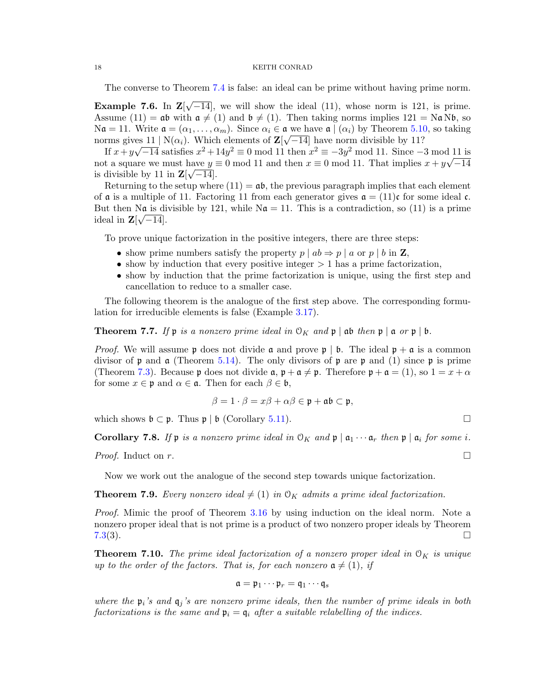The converse to Theorem [7.4](#page-16-0) is false: an ideal can be prime without having prime norm.

<span id="page-17-1"></span>Example 7.6. In Z[ √  $\overline{-14}$ , we will show the ideal (11), whose norm is 121, is prime. Assume (11) =  $\mathfrak{a}\mathfrak{b}$  with  $\mathfrak{a} \neq (1)$  and  $\mathfrak{b} \neq (1)$ . Then taking norms implies 121 = N $\mathfrak{a}$ N $\mathfrak{b}$ , so  $\mathcal{N}\mathfrak{a} = 11.$  Write  $\mathfrak{a} = (\alpha_1, \dots, \alpha_m)$ . Since  $\alpha_i \in \mathfrak{a}$  we have  $\mathfrak{a} \mid (\alpha_i)$  by Theorem [5.10,](#page-14-0) so taking norms gives  $11 \mid N(\alpha_i)$ . Which elements of  $\mathbb{Z}[\sqrt{-14}]$  have norm divisible by 11?

If  $x+y\sqrt{-14}$  satisfies  $x^2+14y^2 \equiv 0 \mod 11$  then  $x^2 \equiv -3y^2 \mod 11$ . Since  $-3 \mod 11$  is not a square we must have  $y \equiv 0 \mod 11$  and then  $x \equiv 0 \mod 11$ . That implies  $x + y\sqrt{-14}$ is divisible by 11 in  $\mathbf{Z}[\sqrt{-14}]$ .

Returning to the setup where  $(11) = a\mathfrak{b}$ , the previous paragraph implies that each element of  $\alpha$  is a multiple of 11. Factoring 11 from each generator gives  $\alpha = (11)c$  for some ideal c. But then Na is divisible by 121, while  $\mathbb{N}\mathfrak{a} = 11$ . This is a contradiction, so (11) is a prime ideal in  $\mathbf{Z}[\sqrt{-14}]$ .

To prove unique factorization in the positive integers, there are three steps:

- show prime numbers satisfy the property  $p | ab \Rightarrow p | a$  or  $p | b$  in **Z**,
- show by induction that every positive integer  $> 1$  has a prime factorization,
- show by induction that the prime factorization is unique, using the first step and cancellation to reduce to a smaller case.

The following theorem is the analogue of the first step above. The corresponding formulation for irreducible elements is false (Example [3.17\)](#page-4-4).

<span id="page-17-2"></span>**Theorem 7.7.** If  $\mathfrak{p}$  is a nonzero prime ideal in  $\mathcal{O}_K$  and  $\mathfrak{p} \mid \mathfrak{a}$  then  $\mathfrak{p} \mid \mathfrak{a}$  or  $\mathfrak{p} \mid \mathfrak{b}$ .

*Proof.* We will assume p does not divide  $\alpha$  and prove p | b. The ideal  $p + \alpha$  is a common divisor of p and  $\mathfrak a$  (Theorem [5.14\)](#page-14-3). The only divisors of p are p and (1) since p is prime (Theorem [7.3\)](#page-16-1). Because p does not divide  $\mathfrak{a}, \mathfrak{p} + \mathfrak{a} \neq \mathfrak{p}$ . Therefore  $\mathfrak{p} + \mathfrak{a} = (1)$ , so  $1 = x + \alpha$ for some  $x \in \mathfrak{p}$  and  $\alpha \in \mathfrak{a}$ . Then for each  $\beta \in \mathfrak{b}$ ,

$$
\beta = 1 \cdot \beta = x\beta + \alpha\beta \in \mathfrak{p} + \mathfrak{a}\mathfrak{b} \subset \mathfrak{p},
$$

which shows  $\mathfrak{b} \subset \mathfrak{p}$ . Thus  $\mathfrak{p} \mid \mathfrak{b}$  (Corollary [5.11\)](#page-14-2).

<span id="page-17-0"></span>**Corollary 7.8.** If **p** is a nonzero prime ideal in  $\mathcal{O}_K$  and **p**  $\mid \mathfrak{a}_1 \cdots \mathfrak{a}_r$  then **p**  $\mid \mathfrak{a}_i$  for some *i*.

*Proof.* Induct on r.

Now we work out the analogue of the second step towards unique factorization.

**Theorem 7.9.** Every nonzero ideal  $\neq$  (1) in O<sub>K</sub> admits a prime ideal factorization.

Proof. Mimic the proof of Theorem [3.16](#page-4-5) by using induction on the ideal norm. Note a nonzero proper ideal that is not prime is a product of two nonzero proper ideals by Theorem  $7.3(3)$  $7.3(3)$ .

**Theorem 7.10.** The prime ideal factorization of a nonzero proper ideal in  $\mathcal{O}_K$  is unique up to the order of the factors. That is, for each nonzero  $a \neq (1)$ , if

$$
\mathfrak{a}=\mathfrak{p}_1\cdots\mathfrak{p}_r=\mathfrak{q}_1\cdots\mathfrak{q}_s
$$

where the  $\mathfrak{p}_i$ 's and  $\mathfrak{q}_j$ 's are nonzero prime ideals, then the number of prime ideals in both factorizations is the same and  $\mathfrak{p}_i = \mathfrak{q}_i$  after a suitable relabelling of the indices.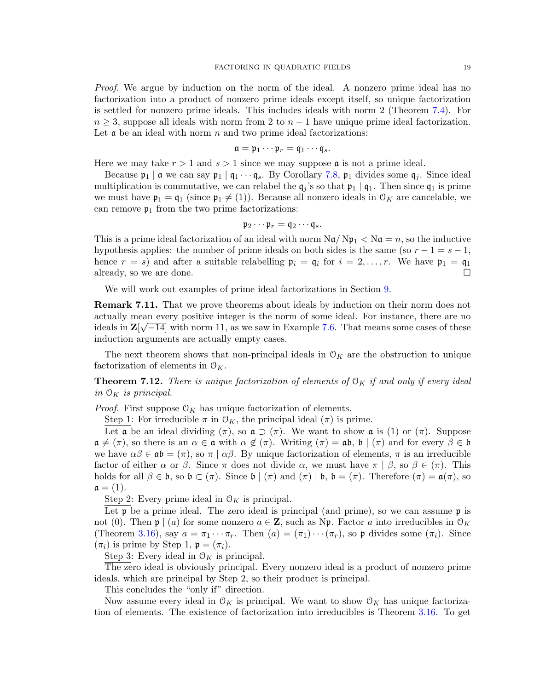Proof. We argue by induction on the norm of the ideal. A nonzero prime ideal has no factorization into a product of nonzero prime ideals except itself, so unique factorization is settled for nonzero prime ideals. This includes ideals with norm 2 (Theorem [7.4\)](#page-16-0). For  $n \geq 3$ , suppose all ideals with norm from 2 to  $n-1$  have unique prime ideal factorization. Let  $\alpha$  be an ideal with norm n and two prime ideal factorizations:

$$
\mathfrak{a}=\mathfrak{p}_1\cdots\mathfrak{p}_r=\mathfrak{q}_1\cdots\mathfrak{q}_s.
$$

Here we may take  $r > 1$  and  $s > 1$  since we may suppose **a** is not a prime ideal.

Because  $\mathfrak{p}_1 \mid \mathfrak{a}$  we can say  $\mathfrak{p}_1 \mid \mathfrak{q}_1 \cdots \mathfrak{q}_s$ . By Corollary [7.8,](#page-17-0)  $\mathfrak{p}_1$  divides some  $\mathfrak{q}_i$ . Since ideal multiplication is commutative, we can relabel the  $q_j$ 's so that  $p_1 | q_1$ . Then since  $q_1$  is prime we must have  $\mathfrak{p}_1 = \mathfrak{q}_1$  (since  $\mathfrak{p}_1 \neq (1)$ ). Because all nonzero ideals in  $\mathfrak{O}_K$  are cancelable, we can remove  $\mathfrak{p}_1$  from the two prime factorizations:

$$
\mathfrak{p}_2\cdots\mathfrak{p}_r=\mathfrak{q}_2\cdots\mathfrak{q}_s.
$$

This is a prime ideal factorization of an ideal with norm  $\text{Na}/\text{Np}_1 < \text{Na} = n$ , so the inductive hypothesis applies: the number of prime ideals on both sides is the same (so  $r - 1 = s - 1$ , hence  $r = s$ ) and after a suitable relabelling  $\mathfrak{p}_i = \mathfrak{q}_i$  for  $i = 2, \ldots, r$ . We have  $\mathfrak{p}_1 = \mathfrak{q}_1$ already, so we are done.  $\square$ 

We will work out examples of prime ideal factorizations in Section [9.](#page-21-0)

Remark 7.11. That we prove theorems about ideals by induction on their norm does not actually mean every positive integer is the norm of some ideal. For instance, there are no ideals in  $\mathbb{Z}[\sqrt{-14}]$  with norm 11, as we saw in Example [7.6.](#page-17-1) That means some cases of these induction arguments are actually empty cases.

The next theorem shows that non-principal ideals in  $\mathcal{O}_K$  are the obstruction to unique factorization of elements in  $\mathcal{O}_K$ .

**Theorem 7.12.** There is unique factorization of elements of  $\mathcal{O}_K$  if and only if every ideal in  $\mathcal{O}_K$  is principal.

*Proof.* First suppose  $O_K$  has unique factorization of elements.

Step 1: For irreducible  $\pi$  in  $\mathcal{O}_K$ , the principal ideal  $(\pi)$  is prime.

Let a be an ideal dividing  $(\pi)$ , so  $\mathfrak{a} \supset (\pi)$ . We want to show a is (1) or  $(\pi)$ . Suppose  $\mathfrak{a} \neq (\pi)$ , so there is an  $\alpha \in \mathfrak{a}$  with  $\alpha \notin (\pi)$ . Writing  $(\pi) = \mathfrak{ab}$ ,  $\mathfrak{b} \mid (\pi)$  and for every  $\beta \in \mathfrak{b}$ we have  $\alpha\beta \in \mathfrak{ab} = (\pi)$ , so  $\pi \mid \alpha\beta$ . By unique factorization of elements,  $\pi$  is an irreducible factor of either  $\alpha$  or  $\beta$ . Since  $\pi$  does not divide  $\alpha$ , we must have  $\pi | \beta$ , so  $\beta \in (\pi)$ . This holds for all  $\beta \in \mathfrak{b}$ , so  $\mathfrak{b} \subset (\pi)$ . Since  $\mathfrak{b} \mid (\pi)$  and  $(\pi) \mid \mathfrak{b}$ ,  $\mathfrak{b} = (\pi)$ . Therefore  $(\pi) = \mathfrak{a}(\pi)$ , so  $a = (1).$ 

Step 2: Every prime ideal in  $\mathcal{O}_K$  is principal.

Let  $\mathfrak p$  be a prime ideal. The zero ideal is principal (and prime), so we can assume  $\mathfrak p$  is not (0). Then  $\mathfrak{p} \mid (a)$  for some nonzero  $a \in \mathbb{Z}$ , such as Np. Factor a into irreducibles in  $\mathcal{O}_K$ (Theorem [3.16\)](#page-4-5), say  $a = \pi_1 \cdots \pi_r$ . Then  $(a) = (\pi_1) \cdots (\pi_r)$ , so p divides some  $(\pi_i)$ . Since  $(\pi_i)$  is prime by Step 1,  $\mathfrak{p} = (\pi_i)$ .

Step 3: Every ideal in  $\mathcal{O}_K$  is principal.

The zero ideal is obviously principal. Every nonzero ideal is a product of nonzero prime ideals, which are principal by Step 2, so their product is principal.

This concludes the "only if" direction.

Now assume every ideal in  $\mathcal{O}_K$  is principal. We want to show  $\mathcal{O}_K$  has unique factorization of elements. The existence of factorization into irreducibles is Theorem [3.16.](#page-4-5) To get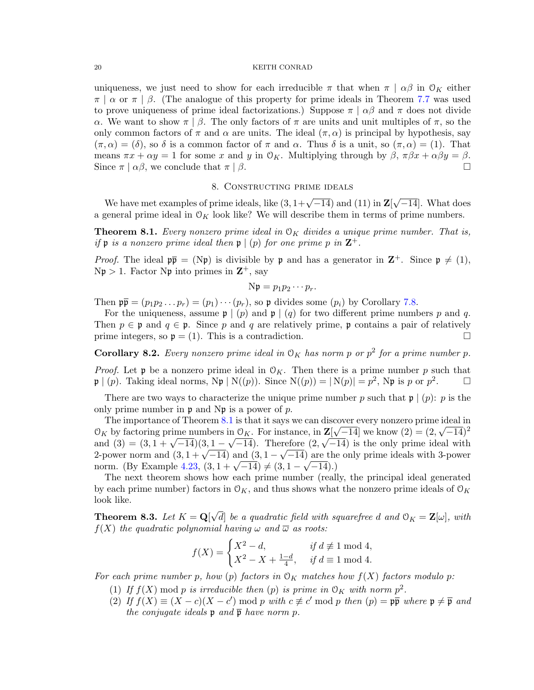uniqueness, we just need to show for each irreducible  $\pi$  that when  $\pi | \alpha \beta$  in  $\mathcal{O}_K$  either  $\pi$  |  $\alpha$  or  $\pi$  |  $\beta$ . (The analogue of this property for prime ideals in Theorem [7.7](#page-17-2) was used to prove uniqueness of prime ideal factorizations.) Suppose  $\pi | \alpha \beta$  and  $\pi$  does not divide α. We want to show  $\pi \mid \beta$ . The only factors of  $\pi$  are units and unit multiples of  $\pi$ , so the only common factors of  $\pi$  and  $\alpha$  are units. The ideal  $(\pi, \alpha)$  is principal by hypothesis, say  $(\pi, \alpha) = (\delta)$ , so  $\delta$  is a common factor of  $\pi$  and  $\alpha$ . Thus  $\delta$  is a unit, so  $(\pi, \alpha) = (1)$ . That means  $\pi x + \alpha y = 1$  for some x and y in  $\mathcal{O}_K$ . Multiplying through by  $\beta$ ,  $\pi \beta x + \alpha \beta y = \beta$ . Since  $\pi | \alpha \beta$ , we conclude that  $\pi | \beta$ .

# 8. Constructing prime ideals

We have met examples of prime ideals, like  $(3, 1+\sqrt{-14})$  and  $(11)$  in  $\mathbf{Z}$ √  $\overline{-14}$ . What does a general prime ideal in  $O_K$  look like? We will describe them in terms of prime numbers.

<span id="page-19-0"></span>**Theorem 8.1.** Every nonzero prime ideal in  $O_K$  divides a unique prime number. That is, if  $\mathfrak p$  is a nonzero prime ideal then  $\mathfrak p \mid (p)$  for one prime p in  $\mathbf Z^+$ .

*Proof.* The ideal  $p\bar{p} = (Np)$  is divisible by p and has a generator in  $\mathbb{Z}^+$ . Since  $p \neq (1)$ ,  $N\mathfrak{p} > 1$ . Factor  $N\mathfrak{p}$  into primes in  $\mathbb{Z}^+$ , say

$$
N\mathfrak{p} = p_1p_2\cdots p_r.
$$

Then  $\mathfrak{p} = (p_1p_2 \ldots p_r) = (p_1) \cdots (p_r)$ , so  $\mathfrak{p}$  divides some  $(p_i)$  by Corollary [7.8.](#page-17-0)

For the uniqueness, assume  $\mathfrak{p} \mid (p)$  and  $\mathfrak{p} \mid (q)$  for two different prime numbers p and q. Then  $p \in \mathfrak{p}$  and  $q \in \mathfrak{p}$ . Since p and q are relatively prime, p contains a pair of relatively prime integers, so  $\mathfrak{p} = (1)$ . This is a contradiction.

**Corollary 8.2.** Every nonzero prime ideal in  $\mathcal{O}_K$  has norm p or  $p^2$  for a prime number p.

*Proof.* Let **p** be a nonzero prime ideal in  $\mathcal{O}_K$ . Then there is a prime number p such that  $\mathfrak{p} \mid (p)$ . Taking ideal norms,  $N\mathfrak{p} \mid N((p))$ . Since  $N((p)) = |N(p)| = p^2$ ,  $N\mathfrak{p}$  is p or  $p^2$  $\Box$ 

There are two ways to characterize the unique prime number p such that  $\mathfrak{p} \mid (p)$ : p is the only prime number in  $\mathfrak p$  and N $\mathfrak p$  is a power of p.

The importance of Theorem [8.1](#page-19-0) is that it says we can discover every nonzero prime ideal in  $\mathcal{O}_K$  by factoring prime numbers in  $\mathcal{O}_K$ . For instance, in  $\mathbf{Z}[\sqrt{-14}]$  we know  $(2) = (2, \sqrt{-14})^2$  $\mathcal{O}_K$  by lactoring prime numbers in  $\mathcal{O}_K$ . For instance, in  $\mathbb{Z}[\sqrt{-14}]$  we know  $(2) = (2, \sqrt{-14})^{-1}$ <br>and  $(3) = (3, 1 + \sqrt{-14})(3, 1 - \sqrt{-14})$ . Therefore  $(2, \sqrt{-14})$  is the only prime ideal with and (3) =  $(3, 1 + \sqrt{-14})$ ,  $(3, 1 - \sqrt{-14})$ . Therefore  $(2, \sqrt{-14})$  is the only prime ideals with 3-power<br>2-power norm and  $(3, 1 + \sqrt{-14})$  and  $(3, 1 - \sqrt{-14})$  are the only prime ideals with 3-power 2-power norm and  $(3, 1 + \sqrt{-14})$  and  $(3, 1 - \sqrt{-14})$  are the<br>norm. (By Example [4.23,](#page-9-2)  $(3, 1 + \sqrt{-14}) \neq (3, 1 - \sqrt{-14})$ .)

The next theorem shows how each prime number (really, the principal ideal generated by each prime number) factors in  $\mathcal{O}_K$ , and thus shows what the nonzero prime ideals of  $\mathcal{O}_K$ look like.

<span id="page-19-1"></span>Theorem 8.3. Let  $K = \mathbf{Q}$ √ d] be a quadratic field with squarefree d and  $\mathcal{O}_K = \mathbf{Z}[\omega]$ , with  $f(X)$  the quadratic polynomial having  $\omega$  and  $\overline{\omega}$  as roots:

$$
f(X) = \begin{cases} X^2 - d, & \text{if } d \not\equiv 1 \bmod 4, \\ X^2 - X + \frac{1 - d}{4}, & \text{if } d \equiv 1 \bmod 4. \end{cases}
$$

For each prime number p, how (p) factors in  $\mathcal{O}_K$  matches how  $f(X)$  factors modulo p:

- (1) If  $f(X)$  mod p is irreducible then (p) is prime in  $\mathfrak{O}_K$  with norm  $p^2$ .
- (2) If  $f(X) \equiv (X c)(X c') \mod p$  with  $c \not\equiv c' \mod p$  then  $(p) = p\overline{p}$  where  $p \neq \overline{p}$  and the conjugate ideals  $\mathfrak p$  and  $\overline{\mathfrak p}$  have norm  $p$ .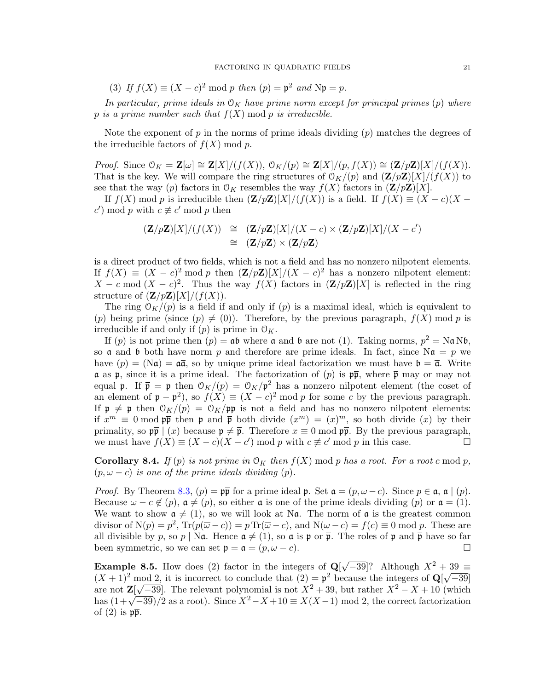(3) If  $f(X) \equiv (X - c)^2 \bmod p$  then  $(p) = \mathfrak{p}^2$  and  $N\mathfrak{p} = p$ .

In particular, prime ideals in  $\mathcal{O}_K$  have prime norm except for principal primes (p) where p is a prime number such that  $f(X)$  mod p is irreducible.

Note the exponent of p in the norms of prime ideals dividing  $(p)$  matches the degrees of the irreducible factors of  $f(X) \bmod p$ .

*Proof.* Since  $\mathcal{O}_K = \mathbf{Z}[\omega] \cong \mathbf{Z}[X]/(f(X)), \mathcal{O}_K/(p) \cong \mathbf{Z}[X]/(p, f(X)) \cong (\mathbf{Z}/p\mathbf{Z})[X]/(f(X)).$ That is the key. We will compare the ring structures of  $\mathcal{O}_K/(p)$  and  $(\mathbf{Z}/p\mathbf{Z})[X]/(f(X))$  to see that the way (p) factors in  $\mathcal{O}_K$  resembles the way  $f(X)$  factors in  $(\mathbf{Z}/p\mathbf{Z})[X]$ .

If  $f(X)$  mod p is irreducible then  $(\mathbf{Z}/p\mathbf{Z})[X]/(f(X))$  is a field. If  $f(X) \equiv (X - c)(X - c)$ c') mod p with  $c \not\equiv c'$  mod p then

$$
(\mathbf{Z}/p\mathbf{Z})[X]/(f(X)) \cong (\mathbf{Z}/p\mathbf{Z})[X]/(X-c) \times (\mathbf{Z}/p\mathbf{Z})[X]/(X-c')
$$
  
\n
$$
\cong (\mathbf{Z}/p\mathbf{Z}) \times (\mathbf{Z}/p\mathbf{Z})
$$

is a direct product of two fields, which is not a field and has no nonzero nilpotent elements. If  $f(X) \equiv (X - c)^2 \mod p$  then  $(\mathbf{Z}/p\mathbf{Z})[X]/(X - c)^2$  has a nonzero nilpotent element:  $X - c \mod (X - c)^2$ . Thus the way  $f(X)$  factors in  $(\mathbf{Z}/p\mathbf{Z})[X]$  is reflected in the ring structure of  $(\mathbf{Z}/p\mathbf{Z})[X]/(f(X)).$ 

The ring  $\mathcal{O}_K/(p)$  is a field if and only if  $(p)$  is a maximal ideal, which is equivalent to (p) being prime (since  $(p) \neq (0)$ ). Therefore, by the previous paragraph,  $f(X)$  mod p is irreducible if and only if  $(p)$  is prime in  $\mathcal{O}_K$ .

If (p) is not prime then  $(p) = ab$  where a and b are not (1). Taking norms,  $p^2 = NaNb$ , so **a** and **b** both have norm p and therefore are prime ideals. In fact, since  $\mathbf{N}\mathbf{a} = p$  we have  $(p) = (\overline{N}\mathfrak{a}) = \mathfrak{a}\bar{\mathfrak{a}}$ , so by unique prime ideal factorization we must have  $\mathfrak{b} = \bar{\mathfrak{a}}$ . Write  $\alpha$  as p, since it is a prime ideal. The factorization of  $(p)$  is  $p\overline{p}$ , where  $\overline{p}$  may or may not equal p. If  $\bar{\mathfrak{p}} = \mathfrak{p}$  then  $\mathfrak{O}_K/(p) = \mathfrak{O}_K/p^2$  has a nonzero nilpotent element (the coset of an element of  $\mathfrak{p} - \mathfrak{p}^2$ , so  $f(X) \equiv (X - c)^2 \mod p$  for some c by the previous paragraph. If  $\overline{p} \neq p$  then  $\mathcal{O}_K/(p) = \mathcal{O}_K/p\overline{p}$  is not a field and has no nonzero nilpotent elements: if  $x^m \equiv 0 \mod p\bar{p}$  then p and  $\bar{p}$  both divide  $(x^m) = (x)^m$ , so both divide  $(x)$  by their primality, so  $\mathfrak{p}\overline{\mathfrak{p}} \mid (x)$  because  $\mathfrak{p} \neq \overline{\mathfrak{p}}$ . Therefore  $x \equiv 0 \mod \mathfrak{p}\overline{\mathfrak{p}}$ . By the previous paragraph, we must have  $f(X) \equiv (X - c)(X - c') \mod p$  with  $c \not\equiv c' \mod p$  in this case.

**Corollary 8.4.** If (p) is not prime in  $\mathcal{O}_K$  then  $f(X)$  mod p has a root. For a root c mod p,  $(p, \omega - c)$  is one of the prime ideals dividing  $(p)$ .

*Proof.* By Theorem [8.3,](#page-19-1)  $(p) = p\overline{p}$  for a prime ideal p. Set  $\mathfrak{a} = (p, \omega - c)$ . Since  $p \in \mathfrak{a}$ ,  $\mathfrak{a} \mid (p)$ . Because  $\omega - c \notin (p)$ ,  $\mathfrak{a} \neq (p)$ , so either  $\mathfrak{a}$  is one of the prime ideals dividing  $(p)$  or  $\mathfrak{a} = (1)$ . We want to show  $a \neq (1)$ , so we will look at Na. The norm of a is the greatest common divisor of  $N(p) = p^2$ ,  $Tr(p(\overline{\omega} - c)) = p Tr(\overline{\omega} - c)$ , and  $N(\omega - c) = f(c) \equiv 0 \mod p$ . These are all divisible by p, so p | Na. Hence  $a \neq (1)$ , so a is p or  $\bar{p}$ . The roles of p and  $\bar{p}$  have so far been symmetric, so we can set  $\mathfrak{p} = \mathfrak{a} = (p, \omega - c)$ .

**Example 8.5.** How does (2) factor in the integers of  $Q$  $\sqrt{-39}$ ? Although  $X^2 + 39 \equiv$  $(X + 1)^2$  mod 2, it is incorrect to conclude that  $(2) = \mathfrak{p}^2$  because the integers of  $\mathbb{Q}[\sqrt{-39}]$ are not  $\mathbf{Z}$ [  $\sqrt{-39}$ . The relevant polynomial is not  $X^2 + 39$ , but rather  $X^2 - X + 10$  (which are not  $\mathbb{Z}[V-39]$ . The relevant polynomial is not  $X^2 + 39$ , but rather  $X^2 - X + 10$  (which<br>has  $(1+\sqrt{-39})/2$  as a root). Since  $X^2 - X + 10 \equiv X(X-1) \mod 2$ , the correct factorization of  $(2)$  is  $p\overline{p}$ .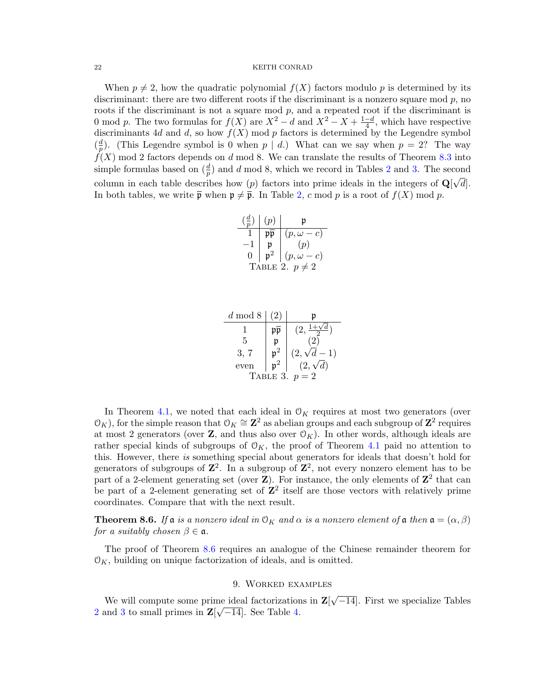When  $p \neq 2$ , how the quadratic polynomial  $f(X)$  factors modulo p is determined by its discriminant: there are two different roots if the discriminant is a nonzero square mod  $p$ , no roots if the discriminant is not a square mod p, and a repeated root if the discriminant is 0 mod p. The two formulas for  $f(X)$  are  $X^2 - d$  and  $X^2 - X + \frac{1-d}{4}$  $\frac{-d}{4}$ , which have respective discriminants 4d and d, so how  $f(X)$  mod p factors is determined by the Legendre symbol  $\left(\frac{d}{n}\right)$  $\frac{d}{p}$ ). (This Legendre symbol is 0 when  $p | d$ .) What can we say when  $p = 2$ ? The way  $f(X)$  mod 2 factors depends on d mod 8. We can translate the results of Theorem [8.3](#page-19-1) into simple formulas based on  $(\frac{d}{p})$  and d mod 8, which we record in Tables [2](#page-21-1) and [3.](#page-21-2) The second column in each table describes how (p) factors into prime ideals in the integers of  $\mathbf{Q}[\sqrt{d}]$ . In both tables, we write  $\bar{\mathfrak{p}}$  when  $\mathfrak{p} \neq \bar{\mathfrak{p}}$ . In Table [2,](#page-21-1) c mod p is a root of  $f(X)$  mod p.

<span id="page-21-1"></span>

|                   | (p) |                        |  |  |
|-------------------|-----|------------------------|--|--|
|                   |     | $(p,\omega$<br>$-c)$   |  |  |
|                   |     | (p)                    |  |  |
| 0                 |     | $(p,\omega)$<br>$- c)$ |  |  |
| BLE 2. $p \neq 2$ |     |                        |  |  |

<span id="page-21-2"></span>

| $d \mod 8$     | 2) | n                |  |  |
|----------------|----|------------------|--|--|
|                | pp | (2,              |  |  |
| 5              |    |                  |  |  |
| 3, 7           |    | $(2,\sqrt{d}-1)$ |  |  |
| even           |    | $(2,\sqrt{d})$   |  |  |
| TABLE 3. $p=2$ |    |                  |  |  |

In Theorem [4.1,](#page-5-1) we noted that each ideal in  $\mathcal{O}_K$  requires at most two generators (over  $(\mathcal{O}_K)$ , for the simple reason that  $\mathcal{O}_K \cong \mathbb{Z}^2$  as abelian groups and each subgroup of  $\mathbb{Z}^2$  requires at most 2 generators (over  $\mathbf{Z}$ , and thus also over  $\mathcal{O}_K$ ). In other words, although ideals are rather special kinds of subgroups of  $\mathcal{O}_K$ , the proof of Theorem [4.1](#page-5-1) paid no attention to this. However, there is something special about generators for ideals that doesn't hold for generators of subgroups of  $\mathbb{Z}^2$ . In a subgroup of  $\mathbb{Z}^2$ , not every nonzero element has to be part of a 2-element generating set (over  $\mathbf{Z}$ ). For instance, the only elements of  $\mathbf{Z}^2$  that can be part of a 2-element generating set of  $\mathbb{Z}^2$  itself are those vectors with relatively prime coordinates. Compare that with the next result.

<span id="page-21-3"></span>**Theorem 8.6.** If a is a nonzero ideal in  $\mathcal{O}_K$  and  $\alpha$  is a nonzero element of a then  $\mathfrak{a} = (\alpha, \beta)$ for a suitably chosen  $\beta \in \mathfrak{a}$ .

The proof of Theorem [8.6](#page-21-3) requires an analogue of the Chinese remainder theorem for  $\mathcal{O}_K$ , building on unique factorization of ideals, and is omitted.

## 9. Worked examples

<span id="page-21-0"></span>We will compute some prime ideal factorizations in  $\mathbf{Z}$ [ √ me ideal factorizations in  $\mathbf{Z}[\sqrt{-14}]$ . First we specialize Tables [2](#page-21-1) and [3](#page-21-2) to small primes in  $\mathbf{Z}[\sqrt{-14}]$ . See Table [4.](#page-22-0)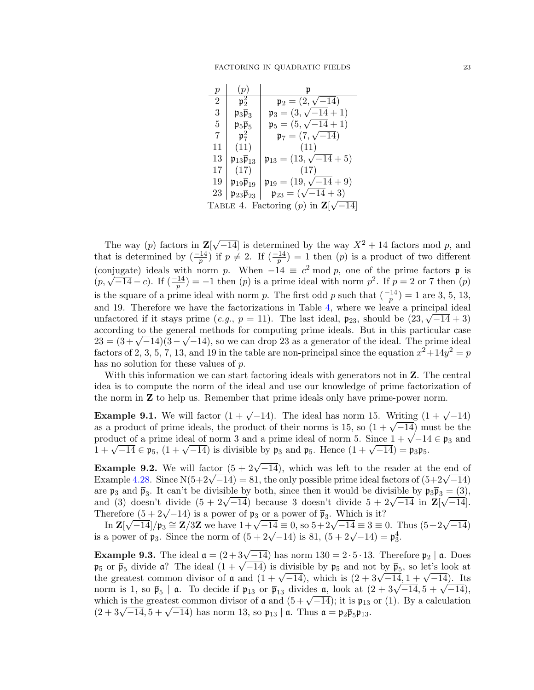<span id="page-22-0"></span>

| р                                                  | $\mathcal{D}$                                    |                                            |  |  |
|----------------------------------------------------|--------------------------------------------------|--------------------------------------------|--|--|
| $\overline{2}$                                     | $\mathfrak{p}_2^2$                               | $\mathfrak{p}_2 = (2, \sqrt{-14})$         |  |  |
| 3                                                  | $\mathfrak{p}_3\overline{\mathfrak{p}}_3$        | $\mathfrak{p}_3 = (3, \sqrt{-14} + 1)$     |  |  |
| 5                                                  | $\mathfrak{p}_5\overline{\mathfrak{p}}_5$        | $\mathfrak{p}_5 = (5, \sqrt{-14} + 1)$     |  |  |
| 7                                                  | $\mathfrak{p}_7^2$                               | $\mathfrak{p}_7 = (7, \sqrt{-14})$         |  |  |
| 11                                                 | (11)                                             | (11)                                       |  |  |
| 13                                                 | $\mathfrak{p}_{13}\overline{\mathfrak{p}}_{13}$  | $\mathfrak{p}_{13} = (13, \sqrt{-14} + 5)$ |  |  |
| 17                                                 | (17)                                             | (17)                                       |  |  |
| 19                                                 | $\mathfrak{p}_{19}\overline{\mathfrak{p}}_{19}$  | $\mathfrak{p}_{19} = (19, \sqrt{-14} + 9)$ |  |  |
| 23                                                 | $\mathfrak{p}_{23} \overline{\mathfrak{p}}_{23}$ | $\mathfrak{p}_{23} = (\sqrt{-14} + 3)$     |  |  |
| TABLE 4. Factoring (p) in $\mathbf{Z}[\sqrt{-14}]$ |                                                  |                                            |  |  |

The way  $(p)$  factors in  $\mathbf{Z}$  $\sqrt{-14}$  is determined by the way  $X^2 + 14$  factors mod p, and that is determined by  $\left(\frac{-14}{p}\right)$  if  $p \neq 2$ . If  $\left(\frac{-14}{p}\right) = 1$  then  $(p)$  is a product of two different (conjugate) ideals with norm p. When  $-14 \equiv c^2 \mod p$ , one of the prime factors p is (conjugate) ideals with norm p. when  $-14 = c$  mod p, one of the prime factors p is  $(p, \sqrt{-14} - c)$ . If  $(\frac{-14}{p}) = -1$  then  $(p)$  is a prime ideal with norm  $p^2$ . If  $p = 2$  or 7 then  $(p)$ is the square of a prime ideal with norm p. The first odd p such that  $\left(\frac{-14}{p}\right) = 1$  are 3, 5, 13, and 19. Therefore we have the factorizations in Table [4,](#page-22-0) where we leave a principal ideal unfactored if it stays prime  $(e.g., p = 11)$ . The last ideal,  $\mathfrak{p}_{23}$ , should be  $(23, \sqrt{-14} + 3)$ according to the general methods for computing prime ideals. But in this particular case according to the general methods for computing prime ideals. But in this particular case<br> $23 = (3 + \sqrt{-14})(3 - \sqrt{-14})$ , so we can drop 23 as a generator of the ideal. The prime ideal factors of 2, 3, 5, 7, 13, and 19 in the table are non-principal since the equation  $x^2+14y^2=p$ has no solution for these values of p.

With this information we can start factoring ideals with generators not in **Z**. The central idea is to compute the norm of the ideal and use our knowledge of prime factorization of the norm in Z to help us. Remember that prime ideals only have prime-power norm.

**Example 9.1.** We will factor  $(1 + \sqrt{-14})$ . The ideal has norm 15. Writing  $(1 + \sqrt{-14})$ **Example 9.1.** We will factor  $(1 + \sqrt{-14})$ . The ideal has norm 15. Writing  $(1 + \sqrt{-14})$  as a product of prime ideals, the product of their norms is 15, so  $(1 + \sqrt{-14})$  must be the as a product of prime ideals, the product of their norms is 15, so  $(1 + \sqrt{-14})$  must be the product of a prime ideal of norm 3 and a prime ideal of norm 5. Since  $1 + \sqrt{-14} \in \mathfrak{p}_3$  and product or a prime ideal of norm 3 and a prime ideal or norm 3. Since  $1 + \sqrt{-14} \in \mathfrak{p}_5$ ,  $(1 + \sqrt{-14})$  is divisible by  $\mathfrak{p}_3$  and  $\mathfrak{p}_5$ . Hence  $(1 + \sqrt{-14}) = \mathfrak{p}_3 \mathfrak{p}_5$ .

**Example 9.2.** We will factor  $(5 + 2\sqrt{-14})$ , which was left to the reader at the end of **Example 9.2.** We will factor  $(3 + 2\sqrt{-14})$ , which was left to the reader at the end of Example [4.28.](#page-10-2) Since N(5+2 $\sqrt{-14}$ ) = 81, the only possible prime ideal factors of  $(5+2\sqrt{-14})$ are  $\mathfrak{p}_3$  and  $\overline{\mathfrak{p}}_3$ . It can't be divisible by both, since then it would be divisible by  $\mathfrak{p}_3\overline{\mathfrak{p}_3} = (3)$ , are  $\mathfrak{p}_3$  and  $\mathfrak{p}_3$ . It can't be divisible by both, since then it would be divisible by  $\mathfrak{p}_3 \mathfrak{p}_3 = (3)$ , and (3) doesn't divide  $(5 + 2\sqrt{-14})$  because 3 doesn't divide  $5 + 2\sqrt{-14}$  in  $\mathbb{Z}[\sqrt{-14}]$ . and (3) doesn't divide  $(5 + 2\sqrt{-14})$  because 3 doesn't divide  $5 + 2\sqrt{-14}$  is a power of  $\overline{p}_3$ . Which is it?

Eurelier (3+2 $\sqrt{-14}$ ) is a power of  $\mathfrak{p}_3$  or a power of  $\mathfrak{p}_3$ . Which is it:<br>In  $\mathbb{Z}[\sqrt{-14}]/\mathfrak{p}_3 \cong \mathbb{Z}/3\mathbb{Z}$  we have  $1 + \sqrt{-14} \equiv 0$ , so  $5 + 2\sqrt{-14} \equiv 3 \equiv 0$ . Thus  $(5 + 2\sqrt{-14})$ In **Σ**[ $\sqrt{-14}$ ]/ $\mu$ <sub>3</sub> = **Σ**/3**Σ** we have  $1+\sqrt{-14} = 0$ , so  $3+2\sqrt{-14} = 5 = 0$ . I<br>is a power of  $\mathfrak{p}_3$ . Since the norm of  $(5 + 2\sqrt{-14})$  is 81,  $(5 + 2\sqrt{-14}) = \mathfrak{p}_3^4$ .

**Example 9.3.** The ideal  $\mathfrak{a} = (2+3\sqrt{-14})$  has norm  $130 = 2 \cdot 5 \cdot 13$ . Therefore  $\mathfrak{p}_2 \mid \mathfrak{a}$ . Does **Example 9.3.** The ideal  $\mathfrak{a} = (2+3\sqrt{-14})$  has norm  $150 = 2 \cdot 3 \cdot 15$ . Therefore  $p_2 \mid \mathfrak{a}$ . Does  $\mathfrak{p}_5$  or  $\overline{\mathfrak{p}}_5$  divide  $\mathfrak{a}$ ? The ideal  $(1+\sqrt{-14})$  is divisible by  $\mathfrak{p}_5$  and not by  $\overline{\mathfrak{p$  $\mathfrak{p}_5$  or  $\mathfrak{p}_5$  divide a: The ideal (1 +  $\sqrt{-14}$ ) is divisible by  $\mathfrak{p}_5$  and not by  $\mathfrak{p}_5$ , so let s look at the greatest common divisor of **a** and  $(1 + \sqrt{-14})$ , which is  $(2 + 3\sqrt{-14}, 1 + \sqrt{-14})$ . Its the greatest common divisor of  $\mathfrak a$  and  $(1 + \sqrt{-14})$ , which is  $(2 + 3\sqrt{-14}, 1 + \sqrt{-14})$ . Its<br>norm is 1, so  $\bar{\mathfrak{p}}_5$  |  $\mathfrak a$ . To decide if  $\mathfrak{p}_{13}$  or  $\bar{\mathfrak{p}}_{13}$  divides  $\mathfrak a$ , look at  $(2 + 3\sqrt{-14}, 5 + \sqrt{-1$ morm is 1, so  $\mathfrak{p}_5$  | a. To decide if  $\mathfrak{p}_{13}$  or  $\mathfrak{p}_{13}$  divides a, look at  $(2 + 3\sqrt{-14})$ ,  $3 + \sqrt{-14}$ ,  $3 + \sqrt{-14}$ , which is the greatest common divisor of **a** and  $(5 + \sqrt{-14})$ ; it is  $\mathfrak{p}_{13}$  or (1). By which is the greatest common divisor of  $\boldsymbol{\alpha}$  and  $(3 + \sqrt{-14})$ ; it is  $\boldsymbol{\mathfrak{p}}_{13}$ <br> $(2 + 3\sqrt{-14}, 5 + \sqrt{-14})$  has norm 13, so  $\boldsymbol{\mathfrak{p}}_{13} | \boldsymbol{\mathfrak{a}}$ . Thus  $\boldsymbol{\mathfrak{a}} = \boldsymbol{\mathfrak{p}}_2 \overline{\boldsymbol{\mathfrak{p}}}_5 \boldsymbol{\mathfrak{p}}_{13}$ .